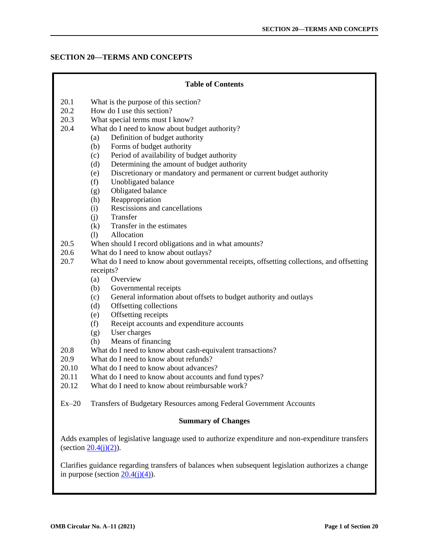## **SECTION 20—TERMS AND CONCEPTS**

# **Table of Contents** 20.1 [What is the purpose of this section?](#page-1-0) 20.2 [How do I use this section?](#page-1-0) 20.3 [What special terms must I know?](#page-1-0) 20.4 [What do I need to know about budget authority?](#page-11-0) (a) [Definition of budget authority](#page-11-0) (b) [Forms of budget authority](#page-11-0) (c) [Period of availability of budget authority](#page-14-0) (d) [Determining the amount of budget authority](#page-16-0) (e) [Discretionary or mandatory and permanent or current budget authority](#page-18-0) (f) [Unobligated balance](#page-18-0) (g) [Obligated balance](#page-19-0) (h) [Reappropriation](#page-19-0) (i) [Rescissions and cancellations](#page-20-0) (j) [Transfer](#page-20-0) (k) [Transfer in the estimates](#page-22-0) (l) [Allocation](#page-22-0) 20.5 [When should I record obligations and in what amounts?](#page-23-0) 20.6 [What do I need to know about outlays?](#page-27-0) 20.7 [What do I need to know about governmental receipts, offsetting collections, and offsetting](#page-28-0) receipts? (a) [Overview](#page-28-0) (b) [Governmental receipts](#page-29-0) (c) [General information about offsets to budget authority and outlays](#page-30-0) (d) [Offsetting collections](#page-30-0) (e) [Offsetting receipts](#page-31-0) (f) [Receipt accounts and expenditure accounts](#page-32-0) (g) [User charges](#page-33-0) (h) [Means of financing](#page-34-0) 20.8 [What do I need to know about cash-equivalent transactions?](#page-34-0) 20.9 [What do I need to know about refunds?](#page-35-0) 20.10 [What do I need to know about advances?](#page-36-0) 20.11 [What do I need to know about accounts and fund types?](#page-37-0) 20.12 [What do I need to know about reimbursable work?](#page-42-0) Ex–20 [Transfers of Budgetary Resources among Federal Government Accounts](#page-44-0) **Summary of Changes** Adds examples of legislative language used to authorize expenditure and non-expenditure transfers (section  $20.4(j)(2)$ ). Clarifies guidance regarding transfers of balances when subsequent legislation authorizes a change in purpose (section  $20.4(j)(4)$ ).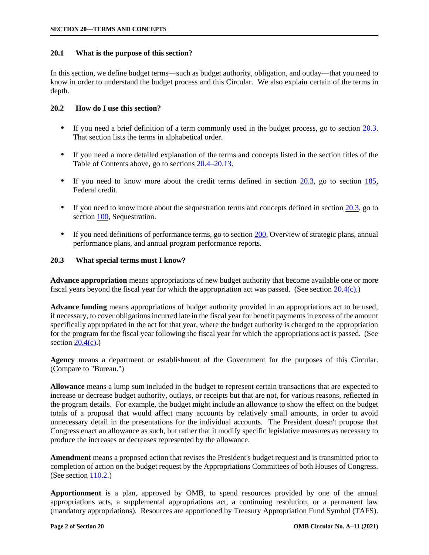## <span id="page-1-0"></span>**20.1 What is the purpose of this section?**

In this section, we define budget terms—such as budget authority, obligation, and outlay—that you need to know in order to understand the budget process and this Circular. We also explain certain of the terms in depth.

## **20.2 How do I use this section?**

- If you need a brief definition of a term commonly used in the budget process, go to section 20.3. That section lists the terms in alphabetical order.
- If you need a more detailed explanation of the terms and concepts listed in the section titles of the Table of Contents above, go to sections [20.4–20.13.](#page-11-0)
- If you need to know more about the credit terms defined in section  $20.3$ , go to section  $185$ , Federal credit.
- If you need to know more about the sequestration terms and concepts defined in section 20.3, go to section [100,](https://www.whitehouse.gov/wp-content/uploads/2018/06/s100.pdf) Sequestration.
- If you need definitions of performance terms, go to sectio[n 200, O](https://www.whitehouse.gov/wp-content/uploads/2018/06/s200.pdf)verview of strategic plans, annual performance plans, and annual program performance reports.

## **20.3 What special terms must I know?**

**Advance appropriation** means appropriations of new budget authority that become available one or more fiscal years beyond the fiscal year for which the appropriation act was passed. (See section [20.4\(c\).\)](#page-14-0)

**Advance funding** means appropriations of budget authority provided in an appropriations act to be used, if necessary, to cover obligations incurred late in the fiscal year for benefit payments in excess of the amount specifically appropriated in the act for that year, where the budget authority is charged to the appropriation for the program for the fiscal year following the fiscal year for which the appropriations act is passed. (See section  $20.4(c)$ .)

**Agency** means a department or establishment of the Government for the purposes of this Circular. (Compare to "Bureau.")

**Allowance** means a lump sum included in the budget to represent certain transactions that are expected to increase or decrease budget authority, outlays, or receipts but that are not, for various reasons, reflected in the program details. For example, the budget might include an allowance to show the effect on the budget totals of a proposal that would affect many accounts by relatively small amounts, in order to avoid unnecessary detail in the presentations for the individual accounts. The President doesn't propose that Congress enact an allowance as such, but rather that it modify specific legislative measures as necessary to produce the increases or decreases represented by the allowance.

**Amendment** means a proposed action that revises the President's budget request and is transmitted prior to completion of action on the budget request by the Appropriations Committees of both Houses of Congress. (See section [110.2.\)](https://www.whitehouse.gov/wp-content/uploads/2018/06/s110.pdf#110.2)

**Apportionment** is a plan, approved by OMB, to spend resources provided by one of the annual appropriations acts, a supplemental appropriations act, a continuing resolution, or a permanent law (mandatory appropriations). Resources are apportioned by Treasury Appropriation Fund Symbol (TAFS).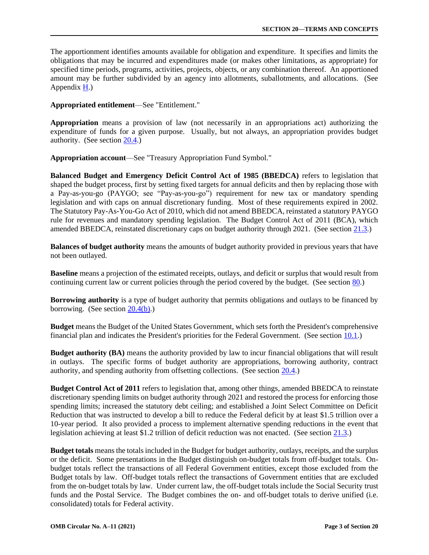The apportionment identifies amounts available for obligation and expenditure. It specifies and limits the obligations that may be incurred and expenditures made (or makes other limitations, as appropriate) for specified time periods, programs, activities, projects, objects, or any combination thereof. An apportioned amount may be further subdivided by an agency into allotments, suballotments, and allocations. (See Appendi[x H.\)](https://www.whitehouse.gov/wp-content/uploads/2018/06/app_h.pdf) 

**Appropriated entitlement**—See "Entitlement."

**Appropriation** means a provision of law (not necessarily in an appropriations act) authorizing the expenditure of funds for a given purpose. Usually, but not always, an appropriation provides budget authority. (See sectio[n 20.4.\)](#page-11-0) 

**Appropriation account**—See "Treasury Appropriation Fund Symbol."

**Balanced Budget and Emergency Deficit Control Act of 1985 (BBEDCA)** refers to legislation that shaped the budget process, first by setting fixed targets for annual deficits and then by replacing those with a Pay-as-you-go (PAYGO; see "Pay-as-you-go") requirement for new tax or mandatory spending legislation and with caps on annual discretionary funding. Most of these requirements expired in 2002. The Statutory Pay-As-You-Go Act of 2010, which did not amend BBEDCA, reinstated a statutory PAYGO rule for revenues and mandatory spending legislation. The Budget Control Act of 2011 (BCA), which amended BBEDCA, reinstated discretionary caps on budget authority through 2021. (See section [21.3.\)](https://www.whitehouse.gov/wp-content/uploads/2018/06/s21.pdf#21.3) 

**Balances of budget authority** means the amounts of budget authority provided in previous years that have not been outlayed.

**Baseline** means a projection of the estimated receipts, outlays, and deficit or surplus that would result from continuing current law or current policies through the period covered by the budget. (See section [80.\)](https://www.whitehouse.gov/wp-content/uploads/2018/06/s80.pdf)

**Borrowing authority** is a type of budget authority that permits obligations and outlays to be financed by borrowing. (See section  $20.4(b)$ .)

**Budget** means the Budget of the United States Government, which sets forth the President's comprehensive financial plan and indicates the President's priorities for the Federal Government. (See section [10.1.\)](https://www.whitehouse.gov/wp-content/uploads/2018/06/s10.pdf#10.1)

**Budget authority (BA)** means the authority provided by law to incur financial obligations that will result in outlays. The specific forms of budget authority are appropriations, borrowing authority, contract authority, and spending authority from offsetting collections. (See section [20.4.\)](#page-11-0)

**Budget Control Act of 2011** refers to legislation that, among other things, amended BBEDCA to reinstate discretionary spending limits on budget authority through 2021 and restored the process for enforcing those spending limits; increased the statutory debt ceiling; and established a Joint Select Committee on Deficit Reduction that was instructed to develop a bill to reduce the Federal deficit by at least \$1.5 trillion over a 10-year period. It also provided a process to implement alternative spending reductions in the event that legislation achieving at least \$1.2 trillion of deficit reduction was not enacted. (See section [21.3.\)](https://www.whitehouse.gov/wp-content/uploads/2018/06/s21.pdf#21.3)

**Budget totals** means the totals included in the Budget for budget authority, outlays, receipts, and the surplus or the deficit. Some presentations in the Budget distinguish on-budget totals from off-budget totals. Onbudget totals reflect the transactions of all Federal Government entities, except those excluded from the Budget totals by law. Off-budget totals reflect the transactions of Government entities that are excluded from the on-budget totals by law. Under current law, the off-budget totals include the Social Security trust funds and the Postal Service. The Budget combines the on- and off-budget totals to derive unified (i.e. consolidated) totals for Federal activity.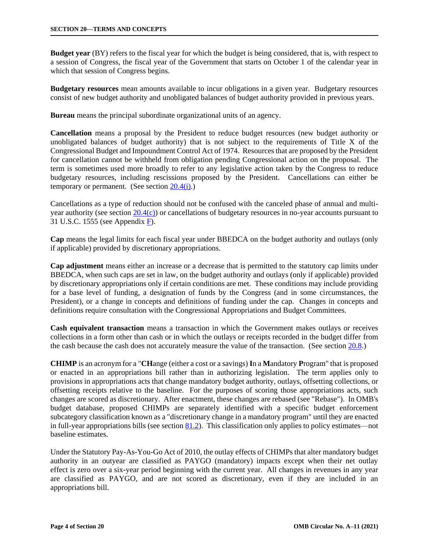**Budget year** (BY) refers to the fiscal year for which the budget is being considered, that is, with respect to a session of Congress, the fiscal year of the Government that starts on October 1 of the calendar year in which that session of Congress begins.

**Budgetary resources** mean amounts available to incur obligations in a given year. Budgetary resources consist of new budget authority and unobligated balances of budget authority provided in previous years.

**Bureau** means the principal subordinate organizational units of an agency.

**Cancellation** means a proposal by the President to reduce budget resources (new budget authority or unobligated balances of budget authority) that is not subject to the requirements of Title X of the Congressional Budget and Impoundment Control Act of 1974. Resources that are proposed by the President for cancellation cannot be withheld from obligation pending Congressional action on the proposal. The term is sometimes used more broadly to refer to any legislative action taken by the Congress to reduce budgetary resources, including rescissions proposed by the President. Cancellations can either be temporary or permanent. (See section  $20.4(i)$ .)

Cancellations as a type of reduction should not be confused with the canceled phase of annual and multiyear authority (see sectio[n 20.4\(c\)\)](#page-14-0) or cancellations of budgetary resources in no-year accounts pursuant to 31 U.S.C. 1555 (see Appendi[x F\).](https://www.whitehouse.gov/wp-content/uploads/2018/06/app_f.pdf)

**Cap** means the legal limits for each fiscal year under BBEDCA on the budget authority and outlays (only if applicable) provided by discretionary appropriations.

**Cap adjustment** means either an increase or a decrease that is permitted to the statutory cap limits under BBEDCA, when such caps are set in law, on the budget authority and outlays (only if applicable) provided by discretionary appropriations only if certain conditions are met. These conditions may include providing for a base level of funding, a designation of funds by the Congress (and in some circumstances, the President), or a change in concepts and definitions of funding under the cap. Changes in concepts and definitions require consultation with the Congressional Appropriations and Budget Committees.

**Cash equivalent transaction** means a transaction in which the Government makes outlays or receives collections in a form other than cash or in which the outlays or receipts recorded in the budget differ from the cash because the cash does not accurately measure the value of the transaction. (See section [20.8.\)](#page-34-0)

**CHIMP** is an acronym for a "**CH**ange (either a cost or a savings) **I**n a **M**andatory **P**rogram" that is proposed or enacted in an appropriations bill rather than in authorizing legislation. The term applies only to provisions in appropriations acts that change mandatory budget authority, outlays, offsetting collections, or offsetting receipts relative to the baseline. For the purposes of scoring those appropriations acts, such changes are scored as discretionary. After enactment, these changes are rebased (see "Rebase"). In OMB's budget database, proposed CHIMPs are separately identified with a specific budget enforcement subcategory classification known as a "discretionary change in a mandatory program" until they are enacted in full-year appropriations bills (see section [81.2\).](https://www.whitehouse.gov/wp-content/uploads/2018/06/s61.pdf#81.2) This classification only applies to policy estimates—not baseline estimates.

Under the Statutory Pay-As-You-Go Act of 2010, the outlay effects of CHIMPs that alter mandatory budget authority in an outyear are classified as PAYGO (mandatory) impacts except when their net outlay effect is zero over a six-year period beginning with the current year. All changes in revenues in any year are classified as PAYGO, and are not scored as discretionary, even if they are included in an appropriations bill.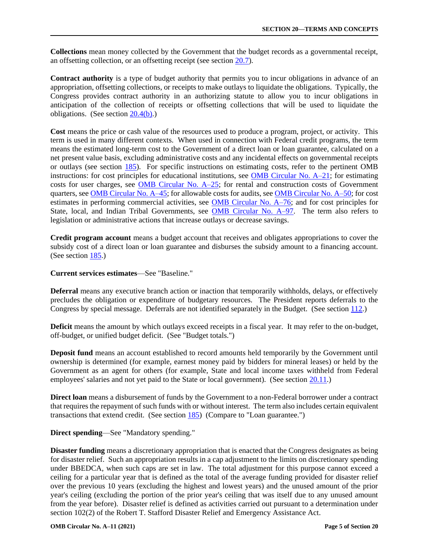**Collections** mean money collected by the Government that the budget records as a governmental receipt, an offsetting collection, or an offsetting receipt (see section [20.7\).](#page-28-0)

**Contract authority** is a type of budget authority that permits you to incur obligations in advance of an appropriation, offsetting collections, or receipts to make outlays to liquidate the obligations. Typically, the Congress provides contract authority in an authorizing statute to allow you to incur obligations in anticipation of the collection of receipts or offsetting collections that will be used to liquidate the obligations. (See sectio[n 20.4\(b\).\)](#page-11-0)

**Cost** means the price or cash value of the resources used to produce a program, project, or activity. This term is used in many different contexts. When used in connection with Federal credit programs, the term means the estimated long-term cost to the Government of a direct loan or loan guarantee, calculated on a net present value basis, excluding administrative costs and any incidental effects on governmental receipts or outlays (see section [185\).](https://www.whitehouse.gov/wp-content/uploads/2018/06/s185.pdf) For specific instructions on estimating costs, refer to the pertinent OMB instructions: for cost principles for educational institutions, see [OMB Circular](https://www.whitehouse.gov/sites/whitehouse.gov/files/omb/circulars/A21/a21_2004.pdf) No. A–21; for estimating costs for user charges, see [OMB Circular No. A–25;](https://www.whitehouse.gov/wp-content/uploads/2017/11/Circular-025.pdf) for rental and construction costs of Government quarters, see [OMB Circular No. A–45;](https://www.whitehouse.gov/wp-content/uploads/2017/11/Circular-045.pdf) for allowable costs for audits, see [OMB Circular No. A–50;](https://www.whitehouse.gov/wp-content/uploads/2017/11/Circular-050.pdf) for cost estimates in performing commercial activities, see [OMB Circular No. A–76;](https://www.whitehouse.gov/sites/whitehouse.gov/files/omb/circulars/A76/a76_incl_tech_correction.pdf) and for cost principles for State, local, and Indian Tribal Governments, see **OMB** Circular No. A-97. The term also refers to legislation or administrative actions that increase outlays or decrease savings.

**Credit program account** means a budget account that receives and obligates appropriations to cover the subsidy cost of a direct loan or loan guarantee and disburses the subsidy amount to a financing account. (See section [185.\)](https://www.whitehouse.gov/wp-content/uploads/2018/06/s185.pdf)

## **Current services estimates**—See "Baseline."

**Deferral** means any executive branch action or inaction that temporarily withholds, delays, or effectively precludes the obligation or expenditure of budgetary resources. The President reports deferrals to the Congress by special message. Deferrals are not identified separately in the Budget. (See section [112.\)](https://www.whitehouse.gov/wp-content/uploads/2018/06/s112.pdf)

**Deficit** means the amount by which outlays exceed receipts in a fiscal year. It may refer to the on-budget, off-budget, or unified budget deficit. (See "Budget totals.")

**Deposit fund** means an account established to record amounts held temporarily by the Government until ownership is determined (for example, earnest money paid by bidders for mineral leases) or held by the Government as an agent for others (for example, State and local income taxes withheld from Federal employees' salaries and not yet paid to the State or local government). (See section [20.11.\)](#page-37-0)

**Direct loan** means a disbursement of funds by the Government to a non-Federal borrower under a contract that requires the repayment of such funds with or without interest. The term also includes certain equivalent transactions that extend credit. (See section [185\) \(](https://www.whitehouse.gov/wp-content/uploads/2018/06/s185.pdf)Compare to "Loan guarantee.")

# **Direct spending**—See "Mandatory spending."

**Disaster funding** means a discretionary appropriation that is enacted that the Congress designates as being for disaster relief. Such an appropriation results in a cap adjustment to the limits on discretionary spending under BBEDCA, when such caps are set in law. The total adjustment for this purpose cannot exceed a ceiling for a particular year that is defined as the total of the average funding provided for disaster relief over the previous 10 years (excluding the highest and lowest years) and the unused amount of the prior year's ceiling (excluding the portion of the prior year's ceiling that was itself due to any unused amount from the year before). Disaster relief is defined as activities carried out pursuant to a determination under section 102(2) of the Robert T. Stafford Disaster Relief and Emergency Assistance Act.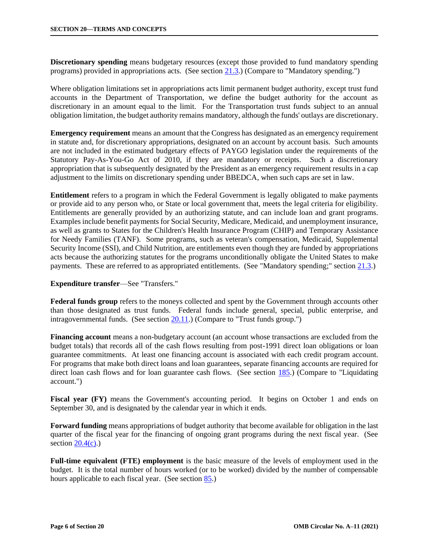**Discretionary spending** means budgetary resources (except those provided to fund mandatory spending programs) provided in appropriations acts. (See sectio[n 21.3.\)](https://www.whitehouse.gov/wp-content/uploads/2018/06/s21.pdf#21.3) (Compare to "Mandatory spending.")

Where obligation limitations set in appropriations acts limit permanent budget authority, except trust fund accounts in the Department of Transportation, we define the budget authority for the account as discretionary in an amount equal to the limit. For the Transportation trust funds subject to an annual obligation limitation, the budget authority remains mandatory, although the funds' outlays are discretionary.

**Emergency requirement** means an amount that the Congress has designated as an emergency requirement in statute and, for discretionary appropriations, designated on an account by account basis. Such amounts are not included in the estimated budgetary effects of PAYGO legislation under the requirements of the Statutory Pay-As-You-Go Act of 2010, if they are mandatory or receipts. Such a discretionary appropriation that is subsequently designated by the President as an emergency requirement results in a cap adjustment to the limits on discretionary spending under BBEDCA, when such caps are set in law.

**Entitlement** refers to a program in which the Federal Government is legally obligated to make payments or provide aid to any person who, or State or local government that, meets the legal criteria for eligibility. Entitlements are generally provided by an authorizing statute, and can include loan and grant programs. Examples include benefit payments for Social Security, Medicare, Medicaid, and unemployment insurance, as well as grants to States for the Children's Health Insurance Program (CHIP) and Temporary Assistance for Needy Families (TANF). Some programs, such as veteran's compensation, Medicaid, Supplemental Security Income (SSI), and Child Nutrition, are entitlements even though they are funded by appropriations acts because the authorizing statutes for the programs unconditionally obligate the United States to make payments. These are referred to as appropriated entitlements. (See "Mandatory spending;" section [21.3.\)](https://www.whitehouse.gov/wp-content/uploads/2018/06/s21.pdf#21.3)

### **Expenditure transfer**—See "Transfers."

**Federal funds group** refers to the moneys collected and spent by the Government through accounts other than those designated as trust funds. Federal funds include general, special, public enterprise, and intragovernmental funds. (See section  $20.11$ .) (Compare to "Trust funds group.")

**Financing account** means a non-budgetary account (an account whose transactions are excluded from the budget totals) that records all of the cash flows resulting from post-1991 direct loan obligations or loan guarantee commitments. At least one financing account is associated with each credit program account. For programs that make both direct loans and loan guarantees, separate financing accounts are required for direct loan cash flows and for loan guarantee cash flows. (See section [185.\) \(C](https://www.whitehouse.gov/wp-content/uploads/2018/06/s185.pdf)ompare to "Liquidating") account.")

**Fiscal year (FY)** means the Government's accounting period. It begins on October 1 and ends on September 30, and is designated by the calendar year in which it ends.

**Forward funding** means appropriations of budget authority that become available for obligation in the last quarter of the fiscal year for the financing of ongoing grant programs during the next fiscal year. (See section  $20.4(c)$ .)

**Full-time equivalent (FTE) employment** is the basic measure of the levels of employment used in the budget. It is the total number of hours worked (or to be worked) divided by the number of compensable hours applicable to each fiscal year. (See section [85.\)](https://www.whitehouse.gov/wp-content/uploads/2018/06/s85.pdf)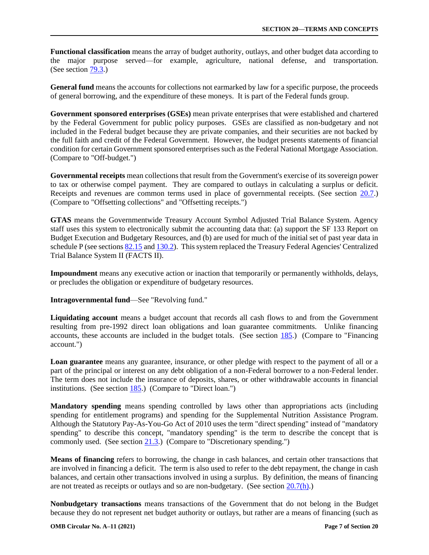**Functional classification** means the array of budget authority, outlays, and other budget data according to the major purpose served—for example, agriculture, national defense, and transportation. (See section [79.3.\)](https://www.whitehouse.gov/wp-content/uploads/2018/06/s79.pdf#79.3)

**General fund** means the accounts for collections not earmarked by law for a specific purpose, the proceeds of general borrowing, and the expenditure of these moneys. It is part of the Federal funds group.

**Government sponsored enterprises (GSEs)** mean private enterprises that were established and chartered by the Federal Government for public policy purposes. GSEs are classified as non-budgetary and not included in the Federal budget because they are private companies, and their securities are not backed by the full faith and credit of the Federal Government. However, the budget presents statements of financial condition for certain Government sponsored enterprises such as the Federal National Mortgage Association. (Compare to "Off-budget.")

**Governmental receipts** mean collections that result from the Government's exercise of its sovereign power to tax or otherwise compel payment. They are compared to outlays in calculating a surplus or deficit. Receipts and revenues are common terms used in place of governmental receipts. (See section [20.7.\)](#page-28-0)  (Compare to "Offsetting collections" and "Offsetting receipts.")

**GTAS** means the Governmentwide Treasury Account Symbol Adjusted Trial Balance System. Agency staff uses this system to electronically submit the accounting data that: (a) support the SF 133 Report on Budget Execution and Budgetary Resources, and (b) are used for much of the initial set of past year data in schedule P (see sections [82.15](https://www.whitehouse.gov/wp-content/uploads/2018/06/s82.pdf#82.15) and [130.2\).](https://www.whitehouse.gov/wp-content/uploads/2018/06/s130.pdf#130.2) This system replaced the Treasury Federal Agencies' Centralized Trial Balance System II (FACTS II).

**Impoundment** means any executive action or inaction that temporarily or permanently withholds, delays, or precludes the obligation or expenditure of budgetary resources.

**Intragovernmental fund**—See "Revolving fund."

**Liquidating account** means a budget account that records all cash flows to and from the Government resulting from pre-1992 direct loan obligations and loan guarantee commitments. Unlike financing accounts, these accounts are included in the budget totals. (See section  $185$ .) (Compare to "Financing account.")

**Loan guarantee** means any guarantee, insurance, or other pledge with respect to the payment of all or a part of the principal or interest on any debt obligation of a non-Federal borrower to a non-Federal lender. The term does not include the insurance of deposits, shares, or other withdrawable accounts in financial institutions. (See section [185.\) \(](https://www.whitehouse.gov/wp-content/uploads/2018/06/s185.pdf)Compare to "Direct loan.")

**Mandatory spending** means spending controlled by laws other than appropriations acts (including spending for entitlement programs) and spending for the Supplemental Nutrition Assistance Program. Although the Statutory Pay-As-You-Go Act of 2010 uses the term "direct spending" instead of "mandatory spending" to describe this concept, "mandatory spending" is the term to describe the concept that is commonly used. (See section [21.3.\)](https://www.whitehouse.gov/wp-content/uploads/2018/06/s21.pdf#21.3) (Compare to "Discretionary spending.")

**Means of financing** refers to borrowing, the change in cash balances, and certain other transactions that are involved in financing a deficit. The term is also used to refer to the debt repayment, the change in cash balances, and certain other transactions involved in using a surplus. By definition, the means of financing are not treated as receipts or outlays and so are non-budgetary. (See section [20.7\(h\).\)](#page-34-0)

**Nonbudgetary transactions** means transactions of the Government that do not belong in the Budget because they do not represent net budget authority or outlays, but rather are a means of financing (such as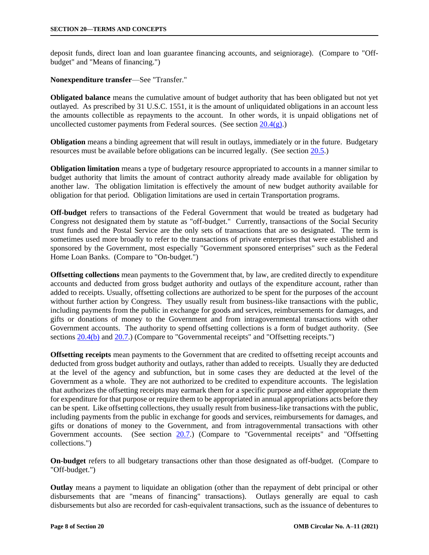deposit funds, direct loan and loan guarantee financing accounts, and seigniorage). (Compare to "Offbudget" and "Means of financing.")

### **Nonexpenditure transfer**—See "Transfer."

**Obligated balance** means the cumulative amount of budget authority that has been obligated but not yet outlayed. As prescribed by 31 U.S.C. 1551, it is the amount of unliquidated obligations in an account less the amounts collectible as repayments to the account. In other words, it is unpaid obligations net of uncollected customer payments from Federal sources. (See section  $20.4(g)$ .)

**Obligation** means a binding agreement that will result in outlays, immediately or in the future. Budgetary resources must be available before obligations can be incurred legally. (See sectio[n 20.5.\)](#page-23-0)

**Obligation limitation** means a type of budgetary resource appropriated to accounts in a manner similar to budget authority that limits the amount of contract authority already made available for obligation by another law. The obligation limitation is effectively the amount of new budget authority available for obligation for that period. Obligation limitations are used in certain Transportation programs.

**Off-budget** refers to transactions of the Federal Government that would be treated as budgetary had Congress not designated them by statute as "off-budget." Currently, transactions of the Social Security trust funds and the Postal Service are the only sets of transactions that are so designated. The term is sometimes used more broadly to refer to the transactions of private enterprises that were established and sponsored by the Government, most especially "Government sponsored enterprises" such as the Federal Home Loan Banks. (Compare to "On-budget.")

**Offsetting collections** mean payments to the Government that, by law, are credited directly to expenditure accounts and deducted from gross budget authority and outlays of the expenditure account, rather than added to receipts. Usually, offsetting collections are authorized to be spent for the purposes of the account without further action by Congress. They usually result from business-like transactions with the public, including payments from the public in exchange for goods and services, reimbursements for damages, and gifts or donations of money to the Government and from intragovernmental transactions with other Government accounts. The authority to spend offsetting collections is a form of budget authority. (See sections [20.4\(b\)](#page-11-0) and [20.7.\)](#page-28-0) (Compare to "Governmental receipts" and "Offsetting receipts.")

**Offsetting receipts** mean payments to the Government that are credited to offsetting receipt accounts and deducted from gross budget authority and outlays, rather than added to receipts. Usually they are deducted at the level of the agency and subfunction, but in some cases they are deducted at the level of the Government as a whole. They are not authorized to be credited to expenditure accounts. The legislation that authorizes the offsetting receipts may earmark them for a specific purpose and either appropriate them for expenditure for that purpose or require them to be appropriated in annual appropriations acts before they can be spent. Like offsetting collections, they usually result from business-like transactions with the public, including payments from the public in exchange for goods and services, reimbursements for damages, and gifts or donations of money to the Government, and from intragovernmental transactions with other Government accounts. (See section [20.7.\)](#page-28-0) (Compare to "Governmental receipts" and "Offsetting collections.")

**On-budget** refers to all budgetary transactions other than those designated as off-budget. (Compare to "Off-budget.")

**Outlay** means a payment to liquidate an obligation (other than the repayment of debt principal or other disbursements that are "means of financing" transactions). Outlays generally are equal to cash disbursements but also are recorded for cash-equivalent transactions, such as the issuance of debentures to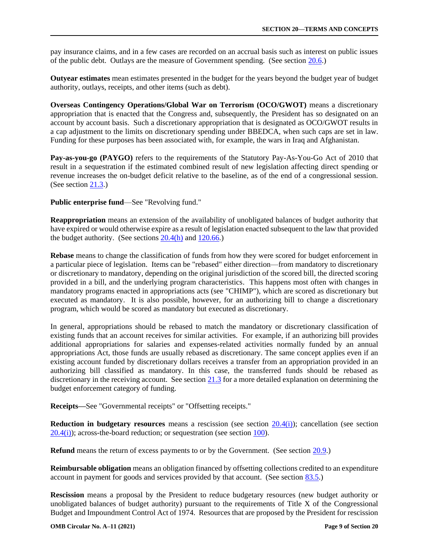pay insurance claims, and in a few cases are recorded on an accrual basis such as interest on public issues of the public debt. Outlays are the measure of Government spending. (See section [20.6.\)](#page-27-0)

**Outyear estimates** mean estimates presented in the budget for the years beyond the budget year of budget authority, outlays, receipts, and other items (such as debt).

**Overseas Contingency Operations/Global War on Terrorism (OCO/GWOT)** means a discretionary appropriation that is enacted that the Congress and, subsequently, the President has so designated on an account by account basis. Such a discretionary appropriation that is designated as OCO/GWOT results in a cap adjustment to the limits on discretionary spending under BBEDCA, when such caps are set in law. Funding for these purposes has been associated with, for example, the wars in Iraq and Afghanistan.

**Pay-as-you-go (PAYGO)** refers to the requirements of the Statutory Pay-As-You-Go Act of 2010 that result in a sequestration if the estimated combined result of new legislation affecting direct spending or revenue increases the on-budget deficit relative to the baseline, as of the end of a congressional session. (See section [21.3.\)](https://www.whitehouse.gov/wp-content/uploads/2018/06/s21.pdf#21.3)

**Public enterprise fund**—See "Revolving fund."

**Reappropriation** means an extension of the availability of unobligated balances of budget authority that have expired or would otherwise expire as a result of legislation enacted subsequent to the law that provided the budget authority. (See sections  $20.4(h)$  and  $120.66$ .)

**Rebase** means to change the classification of funds from how they were scored for budget enforcement in a particular piece of legislation. Items can be "rebased" either direction—from mandatory to discretionary or discretionary to mandatory, depending on the original jurisdiction of the scored bill, the directed scoring provided in a bill, and the underlying program characteristics. This happens most often with changes in mandatory programs enacted in appropriations acts (see "CHIMP"), which are scored as discretionary but executed as mandatory. It is also possible, however, for an authorizing bill to change a discretionary program, which would be scored as mandatory but executed as discretionary.

In general, appropriations should be rebased to match the mandatory or discretionary classification of existing funds that an account receives for similar activities. For example, if an authorizing bill provides additional appropriations for salaries and expenses-related activities normally funded by an annual appropriations Act, those funds are usually rebased as discretionary. The same concept applies even if an existing account funded by discretionary dollars receives a transfer from an appropriation provided in an authorizing bill classified as mandatory. In this case, the transferred funds should be rebased as discretionary in the receiving account. See section [21.3](https://www.whitehouse.gov/wp-content/uploads/2018/06/s21.pdf#21.3) for a more detailed explanation on determining the budget enforcement category of funding.

**Receipts—**See "Governmental receipts" or "Offsetting receipts."

**Reduction in budgetary resources** means a rescission (see section 20.4(i)); cancellation (see section  $20.4(i)$ ; across-the-board reduction; or sequestration (see section [100\).](https://www.whitehouse.gov/wp-content/uploads/2018/06/s100.pdf)

**Refund** means the return of excess payments to or by the Government. (See section [20.9.\)](#page-35-0)

**Reimbursable obligation** means an obligation financed by offsetting collections credited to an expenditure account in payment for goods and services provided by that account. (See section [83.5.\)](https://www.whitehouse.gov/wp-content/uploads/2018/06/s83.pdf#83.5)

**Rescission** means a proposal by the President to reduce budgetary resources (new budget authority or unobligated balances of budget authority) pursuant to the requirements of Title X of the Congressional Budget and Impoundment Control Act of 1974. Resources that are proposed by the President for rescission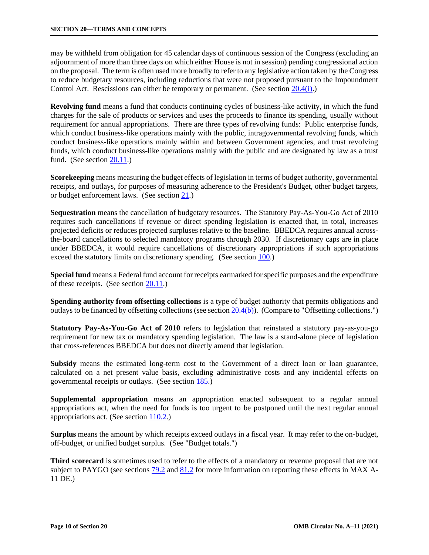may be withheld from obligation for 45 calendar days of continuous session of the Congress (excluding an adjournment of more than three days on which either House is not in session) pending congressional action on the proposal. The term is often used more broadly to refer to any legislative action taken by the Congress to reduce budgetary resources, including reductions that were not proposed pursuant to the Impoundment Control Act. Rescissions can either be temporary or permanent. (See section [20.4\(i\).\)](#page-20-0)

**Revolving fund** means a fund that conducts continuing cycles of business-like activity, in which the fund charges for the sale of products or services and uses the proceeds to finance its spending, usually without requirement for annual appropriations. There are three types of revolving funds: Public enterprise funds, which conduct business-like operations mainly with the public, intragovernmental revolving funds, which conduct business-like operations mainly within and between Government agencies, and trust revolving funds, which conduct business-like operations mainly with the public and are designated by law as a trust fund. (See section [20.11.\)](#page-37-0)

**Scorekeeping** means measuring the budget effects of legislation in terms of budget authority, governmental receipts, and outlays, for purposes of measuring adherence to the President's Budget, other budget targets, or budget enforcement laws. (See section [21.\)](https://www.whitehouse.gov/wp-content/uploads/2018/06/s21.pdf)

**Sequestration** means the cancellation of budgetary resources. The Statutory Pay-As-You-Go Act of 2010 requires such cancellations if revenue or direct spending legislation is enacted that, in total, increases projected deficits or reduces projected surpluses relative to the baseline. BBEDCA requires annual acrossthe-board cancellations to selected mandatory programs through 2030. If discretionary caps are in place under BBEDCA, it would require cancellations of discretionary appropriations if such appropriations exceed the statutory limits on discretionary spending. (See section [100.\)](https://www.whitehouse.gov/wp-content/uploads/2018/06/s100.pdf)

**Special fund** means a Federal fund account for receipts earmarked for specific purposes and the expenditure of these receipts. (See section [20.11.\)](#page-37-0)

**Spending authority from offsetting collections** is a type of budget authority that permits obligations and outlays to be financed by offsetting collections (see section [20.4\(b\)\).](#page-11-0) (Compare to "Offsetting collections.")

**Statutory Pay-As-You-Go Act of 2010** refers to legislation that reinstated a statutory pay-as-you-go requirement for new tax or mandatory spending legislation. The law is a stand-alone piece of legislation that cross-references BBEDCA but does not directly amend that legislation.

**Subsidy** means the estimated long-term cost to the Government of a direct loan or loan guarantee, calculated on a net present value basis, excluding administrative costs and any incidental effects on governmental receipts or outlays. (See section [185.\)](https://www.whitehouse.gov/wp-content/uploads/2018/06/s185.pdf)

**Supplemental appropriation** means an appropriation enacted subsequent to a regular annual appropriations act, when the need for funds is too urgent to be postponed until the next regular annual appropriations act. (See section [110.2.\)](https://www.whitehouse.gov/wp-content/uploads/2018/06/s110.pdf#110.2)

**Surplus** means the amount by which receipts exceed outlays in a fiscal year. It may refer to the on-budget, off-budget, or unified budget surplus. (See "Budget totals.")

**Third scorecard** is sometimes used to refer to the effects of a mandatory or revenue proposal that are not subject to PAYGO (see sections  $79.2$  and  $81.2$  for more information on reporting these effects in MAX A-11 DE.)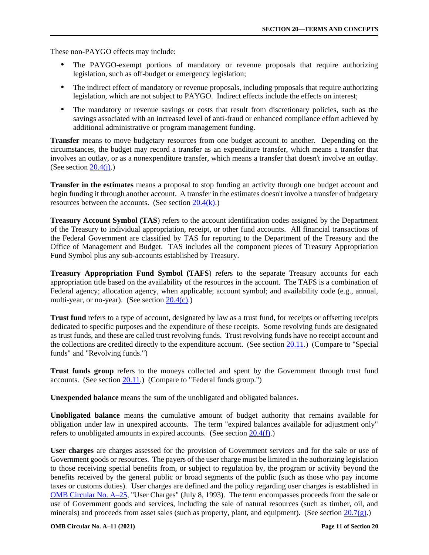These non-PAYGO effects may include:

- The PAYGO-exempt portions of mandatory or revenue proposals that require authorizing legislation, such as off-budget or emergency legislation;
- The indirect effect of mandatory or revenue proposals, including proposals that require authorizing legislation, which are not subject to PAYGO. Indirect effects include the effects on interest;
- The mandatory or revenue savings or costs that result from discretionary policies, such as the savings associated with an increased level of anti-fraud or enhanced compliance effort achieved by additional administrative or program management funding.

**Transfer** means to move budgetary resources from one budget account to another. Depending on the circumstances, the budget may record a transfer as an expenditure transfer, which means a transfer that involves an outlay, or as a nonexpenditure transfer, which means a transfer that doesn't involve an outlay. (See section  $20.4(i)$ .)

**Transfer in the estimates** means a proposal to stop funding an activity through one budget account and begin funding it through another account. A transfer in the estimates doesn't involve a transfer of budgetary resources between the accounts. (See section  $20.4(k)$ .)

**Treasury Account Symbol (TAS**) refers to the account identification codes assigned by the Department of the Treasury to individual appropriation, receipt, or other fund accounts. All financial transactions of the Federal Government are classified by TAS for reporting to the Department of the Treasury and the Office of Management and Budget. TAS includes all the component pieces of Treasury Appropriation Fund Symbol plus any sub-accounts established by Treasury.

**Treasury Appropriation Fund Symbol (TAFS**) refers to the separate Treasury accounts for each appropriation title based on the availability of the resources in the account. The TAFS is a combination of Federal agency; allocation agency, when applicable; account symbol; and availability code (e.g., annual, multi-year, or no-year). (See section [20.4\(c\).\)](#page-14-0)

**Trust fund** refers to a type of account, designated by law as a trust fund, for receipts or offsetting receipts dedicated to specific purposes and the expenditure of these receipts. Some revolving funds are designated as trust funds, and these are called trust revolving funds. Trust revolving funds have no receipt account and the collections are credited directly to the expenditure account. (See section [20.11.\)](#page-37-0) (Compare to "Special funds" and "Revolving funds.")

**Trust funds group** refers to the moneys collected and spent by the Government through trust fund accounts. (See section [20.11.\)](#page-37-0) (Compare to "Federal funds group.")

**Unexpended balance** means the sum of the unobligated and obligated balances.

**Unobligated balance** means the cumulative amount of budget authority that remains available for obligation under law in unexpired accounts. The term "expired balances available for adjustment only" refers to unobligated amounts in expired accounts. (See section [20.4\(f\).\)](#page-18-0)

**User charges** are charges assessed for the provision of Government services and for the sale or use of Government goods or resources. The payers of the user charge must be limited in the authorizing legislation to those receiving special benefits from, or subject to regulation by, the program or activity beyond the benefits received by the general public or broad segments of the public (such as those who pay income taxes or customs duties). User charges are defined and the policy regarding user charges is established in [OMB Circular](https://www.whitehouse.gov/wp-content/uploads/2017/11/Circular-025.pdf) No. A–25, "User Charges" (July 8, 1993). The term encompasses proceeds from the sale or use of Government goods and services, including the sale of natural resources (such as timber, oil, and minerals) and proceeds from asset sales (such as property, plant, and equipment). (See section [20.7\(g\).\)](#page-33-0)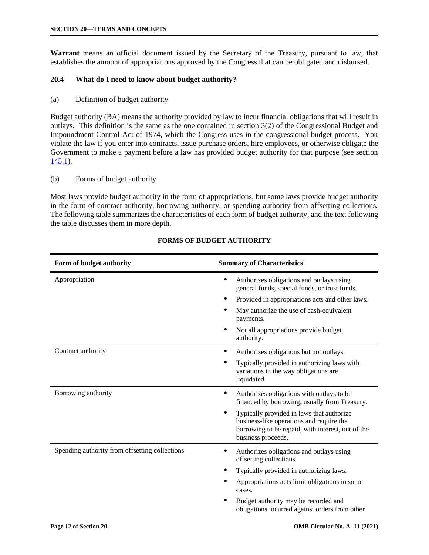<span id="page-11-0"></span>**Warrant** means an official document issued by the Secretary of the Treasury, pursuant to law, that establishes the amount of appropriations approved by the Congress that can be obligated and disbursed.

## **20.4 What do I need to know about budget authority?**

(a) Definition of budget authority

Budget authority (BA) means the authority provided by law to incur financial obligations that will result in outlays. This definition is the same as the one contained in section  $3(2)$  of the Congressional Budget and Impoundment Control Act of 1974, which the Congress uses in the congressional budget process. You violate the law if you enter into contracts, issue purchase orders, hire employees, or otherwise obligate the Government to make a payment before a law has provided budget authority for that purpose (see section [145.1\).](https://www.whitehouse.gov/wp-content/uploads/2018/06/s145.pdf#145.1)

(b) Forms of budget authority

Most laws provide budget authority in the form of appropriations, but some laws provide budget authority in the form of contract authority, borrowing authority, or spending authority from offsetting collections. The following table summarizes the characteristics of each form of budget authority, and the text following the table discusses them in more depth.

| Form of budget authority                       | <b>Summary of Characteristics</b>                                                                                                                                |  |
|------------------------------------------------|------------------------------------------------------------------------------------------------------------------------------------------------------------------|--|
| Appropriation                                  | Authorizes obligations and outlays using<br>٠<br>general funds, special funds, or trust funds.                                                                   |  |
|                                                | Provided in appropriations acts and other laws.                                                                                                                  |  |
|                                                | May authorize the use of cash-equivalent<br>payments.                                                                                                            |  |
|                                                | Not all appropriations provide budget<br>authority.                                                                                                              |  |
| Contract authority                             | Authorizes obligations but not outlays.                                                                                                                          |  |
|                                                | Typically provided in authorizing laws with<br>variations in the way obligations are<br>liquidated.                                                              |  |
| Borrowing authority                            | Authorizes obligations with outlays to be<br>financed by borrowing, usually from Treasury.                                                                       |  |
|                                                | Typically provided in laws that authorize<br>business-like operations and require the<br>borrowing to be repaid, with interest, out of the<br>business proceeds. |  |
| Spending authority from offsetting collections | Authorizes obligations and outlays using<br>offsetting collections.                                                                                              |  |
|                                                | Typically provided in authorizing laws.                                                                                                                          |  |
|                                                | Appropriations acts limit obligations in some<br>cases.                                                                                                          |  |
|                                                | Budget authority may be recorded and<br>obligations incurred against orders from other                                                                           |  |

## **FORMS OF BUDGET AUTHORITY**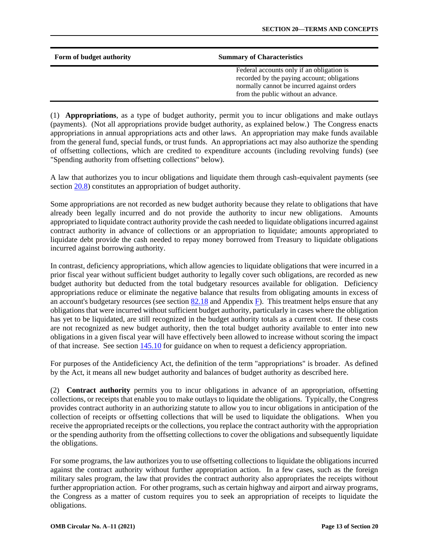| Form of budget authority | <b>Summary of Characteristics</b>                                                                                                                                             |  |
|--------------------------|-------------------------------------------------------------------------------------------------------------------------------------------------------------------------------|--|
|                          | Federal accounts only if an obligation is<br>recorded by the paying account; obligations<br>normally cannot be incurred against orders<br>from the public without an advance. |  |

(1) **Appropriations**, as a type of budget authority, permit you to incur obligations and make outlays (payments). (Not all appropriations provide budget authority, as explained below.) The Congress enacts appropriations in annual appropriations acts and other laws. An appropriation may make funds available from the general fund, special funds, or trust funds. An appropriations act may also authorize the spending of offsetting collections, which are credited to expenditure accounts (including revolving funds) (see "Spending authority from offsetting collections" below).

A law that authorizes you to incur obligations and liquidate them through cash-equivalent payments (see section [20.8\)](#page-34-0) constitutes an appropriation of budget authority.

Some appropriations are not recorded as new budget authority because they relate to obligations that have already been legally incurred and do not provide the authority to incur new obligations. Amounts appropriated to liquidate contract authority provide the cash needed to liquidate obligations incurred against contract authority in advance of collections or an appropriation to liquidate; amounts appropriated to liquidate debt provide the cash needed to repay money borrowed from Treasury to liquidate obligations incurred against borrowing authority.

In contrast, deficiency appropriations, which allow agencies to liquidate obligations that were incurred in a prior fiscal year without sufficient budget authority to legally cover such obligations, are recorded as new budget authority but deducted from the total budgetary resources available for obligation. Deficiency appropriations reduce or eliminate the negative balance that results from obligating amounts in excess of an account's budgetary resources (see section  $82.18$  and Appendix [F\).](https://www.whitehouse.gov/wp-content/uploads/2018/06/app_f.pdf) This treatment helps ensure that any obligations that were incurred without sufficient budget authority, particularly in cases where the obligation has yet to be liquidated, are still recognized in the budget authority totals as a current cost. If these costs are not recognized as new budget authority, then the total budget authority available to enter into new obligations in a given fiscal year will have effectively been allowed to increase without scoring the impact of that increase. See section [145.10](https://www.whitehouse.gov/wp-content/uploads/2018/06/s145.pdf#145.10) for guidance on when to request a deficiency appropriation.

For purposes of the Antideficiency Act, the definition of the term "appropriations" is broader. As defined by the Act, it means all new budget authority and balances of budget authority as described here.

(2) **Contract authority** permits you to incur obligations in advance of an appropriation, offsetting collections, or receipts that enable you to make outlays to liquidate the obligations. Typically, the Congress provides contract authority in an authorizing statute to allow you to incur obligations in anticipation of the collection of receipts or offsetting collections that will be used to liquidate the obligations. When you receive the appropriated receipts or the collections, you replace the contract authority with the appropriation or the spending authority from the offsetting collections to cover the obligations and subsequently liquidate the obligations.

For some programs, the law authorizes you to use offsetting collections to liquidate the obligations incurred against the contract authority without further appropriation action. In a few cases, such as the foreign military sales program, the law that provides the contract authority also appropriates the receipts without further appropriation action. For other programs, such as certain highway and airport and airway programs, the Congress as a matter of custom requires you to seek an appropriation of receipts to liquidate the obligations.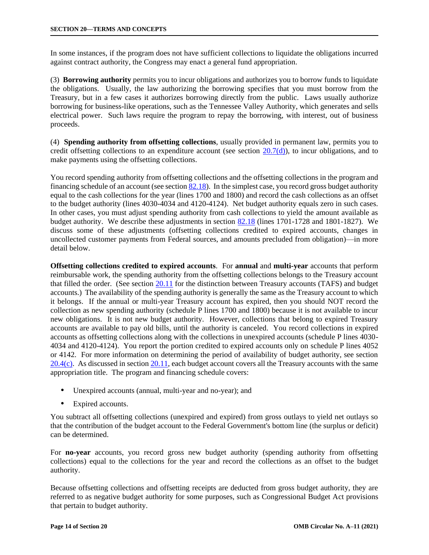In some instances, if the program does not have sufficient collections to liquidate the obligations incurred against contract authority, the Congress may enact a general fund appropriation.

(3) **Borrowing authority** permits you to incur obligations and authorizes you to borrow funds to liquidate the obligations. Usually, the law authorizing the borrowing specifies that you must borrow from the Treasury, but in a few cases it authorizes borrowing directly from the public. Laws usually authorize borrowing for business-like operations, such as the Tennessee Valley Authority, which generates and sells electrical power. Such laws require the program to repay the borrowing, with interest, out of business proceeds.

(4) **Spending authority from offsetting collections**, usually provided in permanent law, permits you to credit offsetting collections to an expenditure account (see section  $20.7(d)$ ), to incur obligations, and to make payments using the offsetting collections.

You record spending authority from offsetting collections and the offsetting collections in the program and financing schedule of an account (see section [82.18\).](https://www.whitehouse.gov/wp-content/uploads/2018/06/s82.pdf#82.18) In the simplest case, you record gross budget authority equal to the cash collections for the year (lines 1700 and 1800) and record the cash collections as an offset to the budget authority (lines 4030-4034 and 4120-4124). Net budget authority equals zero in such cases. In other cases, you must adjust spending authority from cash collections to yield the amount available as budget authority. We describe these adjustments in section [82.18](https://www.whitehouse.gov/wp-content/uploads/2018/06/s82.pdf#82.18) (lines 1701-1728 and 1801-1827). We discuss some of these adjustments (offsetting collections credited to expired accounts, changes in uncollected customer payments from Federal sources, and amounts precluded from obligation)—in more detail below.

**Offsetting collections credited to expired accounts**. For **annual** and **multi-year** accounts that perform reimbursable work, the spending authority from the offsetting collections belongs to the Treasury account that filled the order. (See section [20.11](#page-37-0) for the distinction between Treasury accounts (TAFS) and budget accounts.) The availability of the spending authority is generally the same as the Treasury account to which it belongs. If the annual or multi-year Treasury account has expired, then you should NOT record the collection as new spending authority (schedule P lines 1700 and 1800) because it is not available to incur new obligations. It is not new budget authority. However, collections that belong to expired Treasury accounts are available to pay old bills, until the authority is canceled. You record collections in expired accounts as offsetting collections along with the collections in unexpired accounts (schedule P lines 4030- 4034 and 4120-4124). You report the portion credited to expired accounts only on schedule P lines 4052 or 4142. For more information on determining the period of availability of budget authority, see section [20.4\(c\).](#page-14-0) As discussed in section [20.11, e](#page-37-0)ach budget account covers all the Treasury accounts with the same appropriation title. The program and financing schedule covers:

- Unexpired accounts (annual, multi-year and no-year); and
- Expired accounts.

You subtract all offsetting collections (unexpired and expired) from gross outlays to yield net outlays so that the contribution of the budget account to the Federal Government's bottom line (the surplus or deficit) can be determined.

For **no-year** accounts, you record gross new budget authority (spending authority from offsetting collections) equal to the collections for the year and record the collections as an offset to the budget authority.

Because offsetting collections and offsetting receipts are deducted from gross budget authority, they are referred to as negative budget authority for some purposes, such as Congressional Budget Act provisions that pertain to budget authority.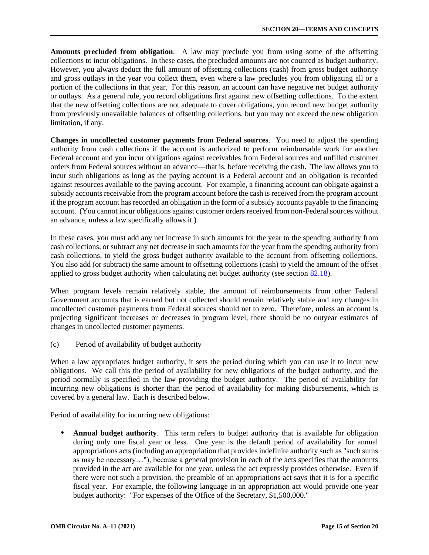<span id="page-14-0"></span>**Amounts precluded from obligation**. A law may preclude you from using some of the offsetting collections to incur obligations. In these cases, the precluded amounts are not counted as budget authority. However, you always deduct the full amount of offsetting collections (cash) from gross budget authority and gross outlays in the year you collect them, even where a law precludes you from obligating all or a portion of the collections in that year. For this reason, an account can have negative net budget authority or outlays. As a general rule, you record obligations first against new offsetting collections. To the extent that the new offsetting collections are not adequate to cover obligations, you record new budget authority from previously unavailable balances of offsetting collections, but you may not exceed the new obligation limitation, if any.

**Changes in uncollected customer payments from Federal sources**. You need to adjust the spending authority from cash collections if the account is authorized to perform reimbursable work for another Federal account and you incur obligations against receivables from Federal sources and unfilled customer orders from Federal sources without an advance—that is, before receiving the cash. The law allows you to incur such obligations as long as the paying account is a Federal account and an obligation is recorded against resources available to the paying account. For example, a financing account can obligate against a subsidy accounts receivable from the program account before the cash is received from the program account if the program account has recorded an obligation in the form of a subsidy accounts payable to the financing account. (You cannot incur obligations against customer orders received from non-Federal sources without an advance, unless a law specifically allows it.)

In these cases, you must add any net increase in such amounts for the year to the spending authority from cash collections, or subtract any net decrease in such amounts for the year from the spending authority from cash collections, to yield the gross budget authority available to the account from offsetting collections. You also add (or subtract) the same amount to offsetting collections (cash) to yield the amount of the offset applied to gross budget authority when calculating net budget authority (see section [82.18\).](https://www.whitehouse.gov/wp-content/uploads/2018/06/s82.pdf#82.18) 

When program levels remain relatively stable, the amount of reimbursements from other Federal Government accounts that is earned but not collected should remain relatively stable and any changes in uncollected customer payments from Federal sources should net to zero. Therefore, unless an account is projecting significant increases or decreases in program level, there should be no outyear estimates of changes in uncollected customer payments.

(c) Period of availability of budget authority

When a law appropriates budget authority, it sets the period during which you can use it to incur new obligations. We call this the period of availability for new obligations of the budget authority, and the period normally is specified in the law providing the budget authority. The period of availability for incurring new obligations is shorter than the period of availability for making disbursements, which is covered by a general law. Each is described below.

Period of availability for incurring new obligations:

 **Annual budget authority**. This term refers to budget authority that is available for obligation during only one fiscal year or less. One year is the default period of availability for annual appropriations acts (including an appropriation that provides indefinite authority such as "such sums as may be necessary…"), because a general provision in each of the acts specifies that the amounts provided in the act are available for one year, unless the act expressly provides otherwise. Even if there were not such a provision, the preamble of an appropriations act says that it is for a specific fiscal year. For example, the following language in an appropriation act would provide one-year budget authority: "For expenses of the Office of the Secretary, \$1,500,000."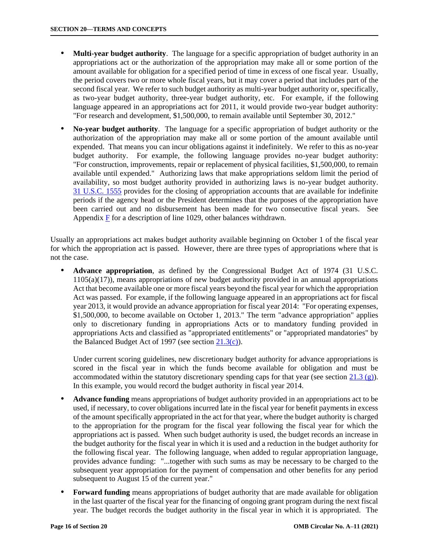- **Multi-year budget authority**. The language for a specific appropriation of budget authority in an appropriations act or the authorization of the appropriation may make all or some portion of the amount available for obligation for a specified period of time in excess of one fiscal year. Usually, the period covers two or more whole fiscal years, but it may cover a period that includes part of the second fiscal year. We refer to such budget authority as multi-year budget authority or, specifically, as two-year budget authority, three-year budget authority, etc. For example, if the following language appeared in an appropriations act for 2011, it would provide two-year budget authority: "For research and development, \$1,500,000, to remain available until September 30, 2012."
- **No-year budget authority**. The language for a specific appropriation of budget authority or the authorization of the appropriation may make all or some portion of the amount available until expended. That means you can incur obligations against it indefinitely. We refer to this as no-year budget authority. For example, the following language provides no-year budget authority: "For construction, improvements, repair or replacement of physical facilities, \$1,500,000, to remain available until expended." Authorizing laws that make appropriations seldom limit the period of availability, so most budget authority provided in authorizing laws is no-year budget authority. [31 U.S.C. 1555](https://uscode.house.gov/view.xhtml?req=granuleid:USC-prelim-title31-section1555&num=0&edition=prelim) provides for the closing of appropriation accounts that are available for indefinite periods if the agency head or the President determines that the purposes of the appropriation have been carried out and no disbursement has been made for two consecutive fiscal years. See Appendi[x F](https://www.whitehouse.gov/wp-content/uploads/2018/06/app_f.pdf) for a description of line 1029, other balances withdrawn.

Usually an appropriations act makes budget authority available beginning on October 1 of the fiscal year for which the appropriation act is passed. However, there are three types of appropriations where that is not the case.

 **Advance appropriation**, as defined by the Congressional Budget Act of 1974 (31 U.S.C. 1105(a)(17)), means appropriations of new budget authority provided in an annual appropriations Act that become available one or more fiscal years beyond the fiscal year for which the appropriation Act was passed. For example, if the following language appeared in an appropriations act for fiscal year 2013, it would provide an advance appropriation for fiscal year 2014: "For operating expenses, \$1,500,000, to become available on October 1, 2013." The term "advance appropriation" applies only to discretionary funding in appropriations Acts or to mandatory funding provided in appropriations Acts and classified as "appropriated entitlements" or "appropriated mandatories" by the Balanced Budget Act of 1997 (see section  $21.3(c)$ ).

Under current scoring guidelines, new discretionary budget authority for advance appropriations is scored in the fiscal year in which the funds become available for obligation and must be accommodated within the statutory discretionary spending caps for that year (see section 21.3  $(g)$ ). In this example, you would record the budget authority in fiscal year 2014.

- **Advance funding** means appropriations of budget authority provided in an appropriations act to be used, if necessary, to cover obligations incurred late in the fiscal year for benefit payments in excess of the amount specifically appropriated in the act for that year, where the budget authority is charged to the appropriation for the program for the fiscal year following the fiscal year for which the appropriations act is passed. When such budget authority is used, the budget records an increase in the budget authority for the fiscal year in which it is used and a reduction in the budget authority for the following fiscal year. The following language, when added to regular appropriation language, provides advance funding: "...together with such sums as may be necessary to be charged to the subsequent year appropriation for the payment of compensation and other benefits for any period subsequent to August 15 of the current year."
- **Forward funding** means appropriations of budget authority that are made available for obligation in the last quarter of the fiscal year for the financing of ongoing grant program during the next fiscal year. The budget records the budget authority in the fiscal year in which it is appropriated. The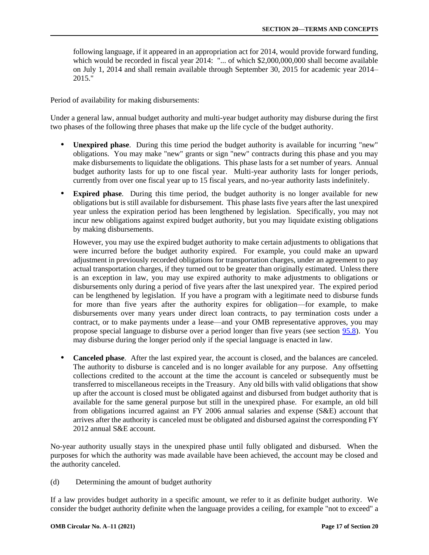<span id="page-16-0"></span>following language, if it appeared in an appropriation act for 2014, would provide forward funding, which would be recorded in fiscal year 2014: "... of which \$2,000,000,000 shall become available on July 1, 2014 and shall remain available through September 30, 2015 for academic year 2014– 2015."

Period of availability for making disbursements:

Under a general law, annual budget authority and multi-year budget authority may disburse during the first two phases of the following three phases that make up the life cycle of the budget authority.

- **Unexpired phase**. During this time period the budget authority is available for incurring "new" obligations. You may make "new" grants or sign "new" contracts during this phase and you may make disbursements to liquidate the obligations. This phase lasts for a set number of years. Annual budget authority lasts for up to one fiscal year. Multi-year authority lasts for longer periods, currently from over one fiscal year up to 15 fiscal years, and no-year authority lasts indefinitely.
- **Expired phase**. During this time period, the budget authority is no longer available for new obligations but is still available for disbursement. This phase lasts five years after the last unexpired year unless the expiration period has been lengthened by legislation. Specifically, you may not incur new obligations against expired budget authority, but you may liquidate existing obligations by making disbursements.

However, you may use the expired budget authority to make certain adjustments to obligations that were incurred before the budget authority expired. For example, you could make an upward adjustment in previously recorded obligations for transportation charges, under an agreement to pay actual transportation charges, if they turned out to be greater than originally estimated. Unless there is an exception in law, you may use expired authority to make adjustments to obligations or disbursements only during a period of five years after the last unexpired year. The expired period can be lengthened by legislation. If you have a program with a legitimate need to disburse funds for more than five years after the authority expires for obligation—for example, to make disbursements over many years under direct loan contracts, to pay termination costs under a contract, or to make payments under a lease—and your OMB representative approves, you may propose special language to disburse over a period longer than five years (see section [95.8\).](https://www.whitehouse.gov/wp-content/uploads/2018/06/s95.pdf#95.8) You may disburse during the longer period only if the special language is enacted in law.

 **Canceled phase**. After the last expired year, the account is closed, and the balances are canceled. The authority to disburse is canceled and is no longer available for any purpose. Any offsetting collections credited to the account at the time the account is canceled or subsequently must be transferred to miscellaneous receipts in the Treasury. Any old bills with valid obligations that show up after the account is closed must be obligated against and disbursed from budget authority that is available for the same general purpose but still in the unexpired phase. For example, an old bill from obligations incurred against an FY 2006 annual salaries and expense (S&E) account that arrives after the authority is canceled must be obligated and disbursed against the corresponding FY 2012 annual S&E account.

No-year authority usually stays in the unexpired phase until fully obligated and disbursed. When the purposes for which the authority was made available have been achieved, the account may be closed and the authority canceled.

(d) Determining the amount of budget authority

If a law provides budget authority in a specific amount, we refer to it as definite budget authority. We consider the budget authority definite when the language provides a ceiling, for example "not to exceed" a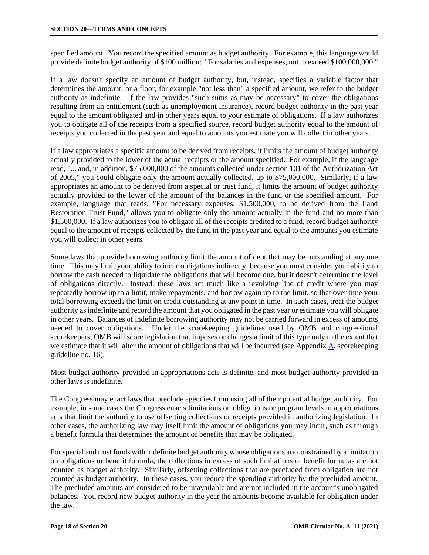specified amount. You record the specified amount as budget authority. For example, this language would provide definite budget authority of \$100 million: "For salaries and expenses, not to exceed \$100,000,000."

If a law doesn't specify an amount of budget authority, but, instead, specifies a variable factor that determines the amount, or a floor, for example "not less than" a specified amount, we refer to the budget authority as indefinite. If the law provides "such sums as may be necessary" to cover the obligations resulting from an entitlement (such as unemployment insurance), record budget authority in the past year equal to the amount obligated and in other years equal to your estimate of obligations. If a law authorizes you to obligate all of the receipts from a specified source, record budget authority equal to the amount of receipts you collected in the past year and equal to amounts you estimate you will collect in other years.

If a law appropriates a specific amount to be derived from receipts, it limits the amount of budget authority actually provided to the lower of the actual receipts or the amount specified. For example, if the language read, "... and, in addition, \$75,000,000 of the amounts collected under section 101 of the Authorization Act of 2005," you could obligate only the amount actually collected, up to \$75,000,000. Similarly, if a law appropriates an amount to be derived from a special or trust fund, it limits the amount of budget authority actually provided to the lower of the amount of the balances in the fund or the specified amount. For example, language that reads, "For necessary expenses, \$1,500,000, to be derived from the Land Restoration Trust Fund," allows you to obligate only the amount actually in the fund and no more than \$1,500,000. If a law authorizes you to obligate all of the receipts credited to a fund, record budget authority equal to the amount of receipts collected by the fund in the past year and equal to the amounts you estimate you will collect in other years.

Some laws that provide borrowing authority limit the amount of debt that may be outstanding at any one time. This may limit your ability to incur obligations indirectly, because you must consider your ability to borrow the cash needed to liquidate the obligations that will become due, but it doesn't determine the level of obligations directly. Instead, these laws act much like a revolving line of credit where you may repeatedly borrow up to a limit, make repayments, and borrow again up to the limit, so that over time your total borrowing exceeds the limit on credit outstanding at any point in time. In such cases, treat the budget authority as indefinite and record the amount that you obligated in the past year or estimate you will obligate in other years. Balances of indefinite borrowing authority may not be carried forward in excess of amounts needed to cover obligations. Under the scorekeeping guidelines used by OMB and congressional scorekeepers, OMB will score legislation that imposes or changes a limit of this type only to the extent that we estimate that it will alter the amount of obligations that will be incurred (see Appendix [A, s](https://www.whitehouse.gov/wp-content/uploads/2018/06/app_a.pdf)corekeeping guideline no. 16).

Most budget authority provided in appropriations acts is definite, and most budget authority provided in other laws is indefinite.

The Congress may enact laws that preclude agencies from using all of their potential budget authority. For example, in some cases the Congress enacts limitations on obligations or program levels in appropriations acts that limit the authority to use offsetting collections or receipts provided in authorizing legislation. In other cases, the authorizing law may itself limit the amount of obligations you may incur, such as through a benefit formula that determines the amount of benefits that may be obligated.

For special and trust funds with indefinite budget authority whose obligations are constrained by a limitation on obligations or benefit formula, the collections in excess of such limitations or benefit formulas are not counted as budget authority. Similarly, offsetting collections that are precluded from obligation are not counted as budget authority. In these cases, you reduce the spending authority by the precluded amount. The precluded amounts are considered to be unavailable and are not included in the account's unobligated balances. You record new budget authority in the year the amounts become available for obligation under the law.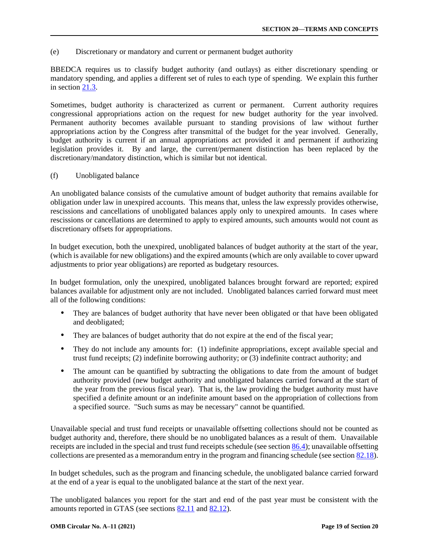<span id="page-18-0"></span>(e) Discretionary or mandatory and current or permanent budget authority

BBEDCA requires us to classify budget authority (and outlays) as either discretionary spending or mandatory spending, and applies a different set of rules to each type of spending. We explain this further in section [21.3.](https://www.whitehouse.gov/wp-content/uploads/2018/06/s21.pdf#21.3) 

Sometimes, budget authority is characterized as current or permanent. Current authority requires congressional appropriations action on the request for new budget authority for the year involved. Permanent authority becomes available pursuant to standing provisions of law without further appropriations action by the Congress after transmittal of the budget for the year involved. Generally, budget authority is current if an annual appropriations act provided it and permanent if authorizing legislation provides it. By and large, the current/permanent distinction has been replaced by the discretionary/mandatory distinction, which is similar but not identical.

(f) Unobligated balance

An unobligated balance consists of the cumulative amount of budget authority that remains available for obligation under law in unexpired accounts. This means that, unless the law expressly provides otherwise, rescissions and cancellations of unobligated balances apply only to unexpired amounts. In cases where rescissions or cancellations are determined to apply to expired amounts, such amounts would not count as discretionary offsets for appropriations.

In budget execution, both the unexpired, unobligated balances of budget authority at the start of the year, (which is available for new obligations) and the expired amounts (which are only available to cover upward adjustments to prior year obligations) are reported as budgetary resources.

In budget formulation, only the unexpired, unobligated balances brought forward are reported; expired balances available for adjustment only are not included. Unobligated balances carried forward must meet all of the following conditions:

- They are balances of budget authority that have never been obligated or that have been obligated and deobligated;
- They are balances of budget authority that do not expire at the end of the fiscal year;
- They do not include any amounts for: (1) indefinite appropriations, except available special and trust fund receipts; (2) indefinite borrowing authority; or (3) indefinite contract authority; and
- The amount can be quantified by subtracting the obligations to date from the amount of budget authority provided (new budget authority and unobligated balances carried forward at the start of the year from the previous fiscal year). That is, the law providing the budget authority must have specified a definite amount or an indefinite amount based on the appropriation of collections from a specified source. "Such sums as may be necessary" cannot be quantified.

Unavailable special and trust fund receipts or unavailable offsetting collections should not be counted as budget authority and, therefore, there should be no unobligated balances as a result of them. Unavailable receipts are included in the special and trust fund receipts schedule (see sectio[n 86.4\);](https://www.whitehouse.gov/wp-content/uploads/2018/06/s86.pdf#86.4) unavailable offsetting collections are presented as a memorandum entry in the program and financing schedule (see sectio[n 82.18\).](https://www.whitehouse.gov/wp-content/uploads/2018/06/s82.pdf#82.18)

In budget schedules, such as the program and financing schedule, the unobligated balance carried forward at the end of a year is equal to the unobligated balance at the start of the next year.

The unobligated balances you report for the start and end of the past year must be consistent with the amounts reported in GTAS (see sections [82.11](https://www.whitehouse.gov/wp-content/uploads/2018/06/s82.pdf#82.11) and [82.12\).](https://www.whitehouse.gov/wp-content/uploads/2018/06/s82.pdf#82.12)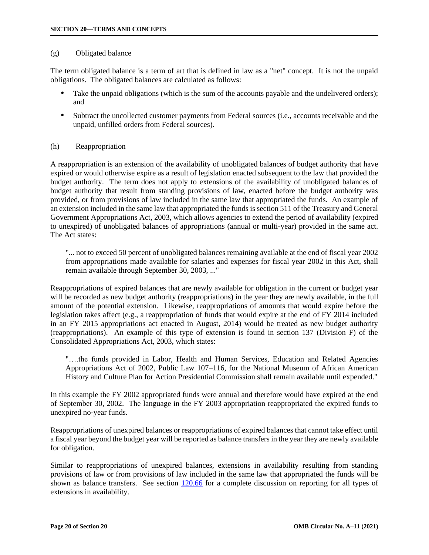### <span id="page-19-0"></span>(g) Obligated balance

The term obligated balance is a term of art that is defined in law as a "net" concept. It is not the unpaid obligations. The obligated balances are calculated as follows:

- Take the unpaid obligations (which is the sum of the accounts payable and the undelivered orders); and
- Subtract the uncollected customer payments from Federal sources (i.e., accounts receivable and the unpaid, unfilled orders from Federal sources).

### (h) Reappropriation

A reappropriation is an extension of the availability of unobligated balances of budget authority that have expired or would otherwise expire as a result of legislation enacted subsequent to the law that provided the budget authority. The term does not apply to extensions of the availability of unobligated balances of budget authority that result from standing provisions of law, enacted before the budget authority was provided, or from provisions of law included in the same law that appropriated the funds. An example of an extension included in the same law that appropriated the funds is section 511 of the Treasury and General Government Appropriations Act, 2003, which allows agencies to extend the period of availability (expired to unexpired) of unobligated balances of appropriations (annual or multi-year) provided in the same act. The Act states:

"... not to exceed 50 percent of unobligated balances remaining available at the end of fiscal year 2002 from appropriations made available for salaries and expenses for fiscal year 2002 in this Act, shall remain available through September 30, 2003, ..."

Reappropriations of expired balances that are newly available for obligation in the current or budget year will be recorded as new budget authority (reappropriations) in the year they are newly available, in the full amount of the potential extension. Likewise, reappropriations of amounts that would expire before the legislation takes affect (e.g., a reappropriation of funds that would expire at the end of FY 2014 included in an FY 2015 appropriations act enacted in August, 2014) would be treated as new budget authority (reappropriations). An example of this type of extension is found in section 137 (Division F) of the Consolidated Appropriations Act, 2003, which states:

"….the funds provided in Labor, Health and Human Services, Education and Related Agencies Appropriations Act of 2002, Public Law 107–116, for the National Museum of African American History and Culture Plan for Action Presidential Commission shall remain available until expended."

In this example the FY 2002 appropriated funds were annual and therefore would have expired at the end of September 30, 2002. The language in the FY 2003 appropriation reappropriated the expired funds to unexpired no-year funds.

Reappropriations of unexpired balances or reappropriations of expired balances that cannot take effect until a fiscal year beyond the budget year will be reported as balance transfers in the year they are newly available for obligation.

Similar to reappropriations of unexpired balances, extensions in availability resulting from standing provisions of law or from provisions of law included in the same law that appropriated the funds will be shown as balance transfers. See section [120.66](https://www.whitehouse.gov/wp-content/uploads/2018/06/s1202.pdf#120.66.11) for a complete discussion on reporting for all types of extensions in availability.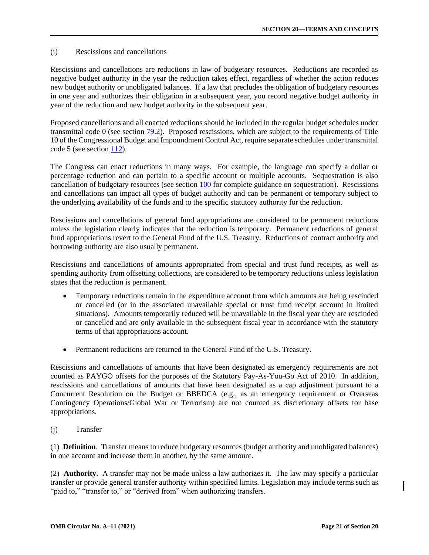### <span id="page-20-0"></span>(i) Rescissions and cancellations

Rescissions and cancellations are reductions in law of budgetary resources. Reductions are recorded as negative budget authority in the year the reduction takes effect, regardless of whether the action reduces new budget authority or unobligated balances. If a law that precludes the obligation of budgetary resources in one year and authorizes their obligation in a subsequent year, you record negative budget authority in year of the reduction and new budget authority in the subsequent year.

Proposed cancellations and all enacted reductions should be included in the regular budget schedules under transmittal code 0 (see section [79.2\)](https://www.whitehouse.gov/wp-content/uploads/2018/06/s79.pdf#79.2). Proposed rescissions, which are subject to the requirements of Title 10 of the Congressional Budget and Impoundment Control Act, require separate schedules under transmittal code 5 (see section [112\).](https://www.whitehouse.gov/wp-content/uploads/2018/06/s112.pdf)

The Congress can enact reductions in many ways. For example, the language can specify a dollar or percentage reduction and can pertain to a specific account or multiple accounts. Sequestration is also cancellation of budgetary resources (see section [100](https://www.whitehouse.gov/wp-content/uploads/2018/06/s100.pdf) for complete guidance on sequestration). Rescissions and cancellations can impact all types of budget authority and can be permanent or temporary subject to the underlying availability of the funds and to the specific statutory authority for the reduction.

Rescissions and cancellations of general fund appropriations are considered to be permanent reductions unless the legislation clearly indicates that the reduction is temporary. Permanent reductions of general fund appropriations revert to the General Fund of the U.S. Treasury. Reductions of contract authority and borrowing authority are also usually permanent.

Rescissions and cancellations of amounts appropriated from special and trust fund receipts, as well as spending authority from offsetting collections, are considered to be temporary reductions unless legislation states that the reduction is permanent.

- Temporary reductions remain in the expenditure account from which amounts are being rescinded or cancelled (or in the associated unavailable special or trust fund receipt account in limited situations). Amounts temporarily reduced will be unavailable in the fiscal year they are rescinded or cancelled and are only available in the subsequent fiscal year in accordance with the statutory terms of that appropriations account.
- Permanent reductions are returned to the General Fund of the U.S. Treasury.

Rescissions and cancellations of amounts that have been designated as emergency requirements are not counted as PAYGO offsets for the purposes of the Statutory Pay-As-You-Go Act of 2010. In addition, rescissions and cancellations of amounts that have been designated as a cap adjustment pursuant to a Concurrent Resolution on the Budget or BBEDCA (e.g., as an emergency requirement or Overseas Contingency Operations/Global War or Terrorism) are not counted as discretionary offsets for base appropriations.

(j) Transfer

(1) **Definition**. Transfer means to reduce budgetary resources (budget authority and unobligated balances) in one account and increase them in another, by the same amount.

(2) **Authority**. A transfer may not be made unless a law authorizes it. The law may specify a particular transfer or provide general transfer authority within specified limits. Legislation may include terms such as "paid to," "transfer to," or "derived from" when authorizing transfers.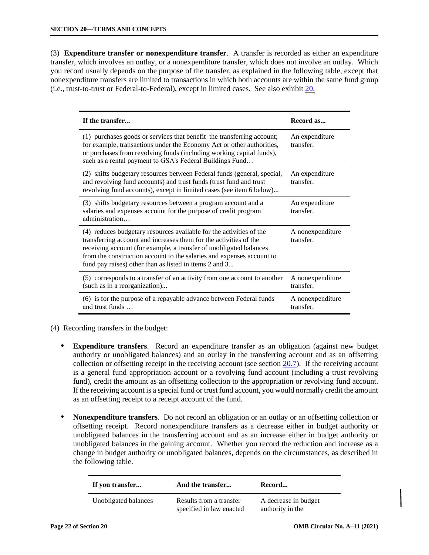(3) **Expenditure transfer or nonexpenditure transfer**. A transfer is recorded as either an expenditure transfer, which involves an outlay, or a nonexpenditure transfer, which does not involve an outlay. Which you record usually depends on the purpose of the transfer, as explained in the following table, except that nonexpenditure transfers are limited to transactions in which both accounts are within the same fund group (i.e., trust-to-trust or Federal-to-Federal), except in limited cases. See also exhibit [20.](#page-44-0)

| If the transfer                                                                                                                                                                                                                                                                                                                                   | Record as                     |
|---------------------------------------------------------------------------------------------------------------------------------------------------------------------------------------------------------------------------------------------------------------------------------------------------------------------------------------------------|-------------------------------|
| (1) purchases goods or services that benefit the transferring account;<br>for example, transactions under the Economy Act or other authorities,<br>or purchases from revolving funds (including working capital funds),<br>such as a rental payment to GSA's Federal Buildings Fund                                                               | An expenditure<br>transfer.   |
| (2) shifts budgetary resources between Federal funds (general, special,<br>and revolving fund accounts) and trust funds (trust fund and trust<br>revolving fund accounts), except in limited cases (see item 6 below)                                                                                                                             | An expenditure<br>transfer.   |
| (3) shifts budgetary resources between a program account and a<br>salaries and expenses account for the purpose of credit program<br>administration                                                                                                                                                                                               | An expenditure<br>transfer.   |
| (4) reduces budgetary resources available for the activities of the<br>transferring account and increases them for the activities of the<br>receiving account (for example, a transfer of unobligated balances<br>from the construction account to the salaries and expenses account to<br>fund pay raises) other than as listed in items 2 and 3 | A nonexpenditure<br>transfer. |
| (5) corresponds to a transfer of an activity from one account to another<br>(such as in a reorganization)                                                                                                                                                                                                                                         | A nonexpenditure<br>transfer. |
| (6) is for the purpose of a repayable advance between Federal funds<br>and trust funds                                                                                                                                                                                                                                                            | A nonexpenditure<br>transfer. |

- (4) Recording transfers in the budget:
	- **Expenditure transfers**. Record an expenditure transfer as an obligation (against new budget authority or unobligated balances) and an outlay in the transferring account and as an offsetting collection or offsetting receipt in the receiving account (see section [20.7\).](#page-28-0) If the receiving account is a general fund appropriation account or a revolving fund account (including a trust revolving fund), credit the amount as an offsetting collection to the appropriation or revolving fund account. If the receiving account is a special fund or trust fund account, you would normally credit the amount as an offsetting receipt to a receipt account of the fund.
	- **Nonexpenditure transfers**. Do not record an obligation or an outlay or an offsetting collection or offsetting receipt. Record nonexpenditure transfers as a decrease either in budget authority or unobligated balances in the transferring account and as an increase either in budget authority or unobligated balances in the gaining account. Whether you record the reduction and increase as a change in budget authority or unobligated balances, depends on the circumstances, as described in the following table.

| If you transfer      | And the transfer                                    | Record                                   |
|----------------------|-----------------------------------------------------|------------------------------------------|
| Unobligated balances | Results from a transfer<br>specified in law enacted | A decrease in budget<br>authority in the |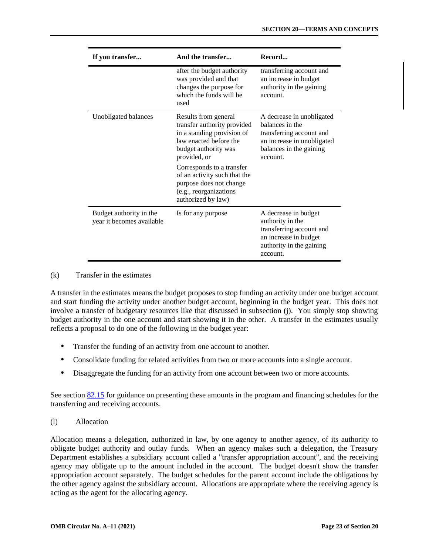<span id="page-22-0"></span>

| If you transfer                                      | And the transfer                                                                                                                                                                                                                                                                            | Record                                                                                                                                        |
|------------------------------------------------------|---------------------------------------------------------------------------------------------------------------------------------------------------------------------------------------------------------------------------------------------------------------------------------------------|-----------------------------------------------------------------------------------------------------------------------------------------------|
|                                                      | after the budget authority<br>was provided and that<br>changes the purpose for<br>which the funds will be<br>used                                                                                                                                                                           | transferring account and<br>an increase in budget<br>authority in the gaining<br>account.                                                     |
| Unobligated balances                                 | Results from general<br>transfer authority provided<br>in a standing provision of<br>law enacted before the<br>budget authority was<br>provided, or<br>Corresponds to a transfer<br>of an activity such that the<br>purpose does not change<br>(e.g., reorganizations<br>authorized by law) | A decrease in unobligated<br>balances in the<br>transferring account and<br>an increase in unobligated<br>balances in the gaining<br>account. |
| Budget authority in the<br>year it becomes available | Is for any purpose                                                                                                                                                                                                                                                                          | A decrease in budget<br>authority in the<br>transferring account and<br>an increase in budget<br>authority in the gaining<br>account.         |

### (k) Transfer in the estimates

A transfer in the estimates means the budget proposes to stop funding an activity under one budget account and start funding the activity under another budget account, beginning in the budget year. This does not involve a transfer of budgetary resources like that discussed in subsection (j). You simply stop showing budget authority in the one account and start showing it in the other. A transfer in the estimates usually reflects a proposal to do one of the following in the budget year:

- Transfer the funding of an activity from one account to another.
- Consolidate funding for related activities from two or more accounts into a single account.
- Disaggregate the funding for an activity from one account between two or more accounts.

See section [82.15](https://www.whitehouse.gov/wp-content/uploads/2018/06/s82.pdf#82.15) for guidance on presenting these amounts in the program and financing schedules for the transferring and receiving accounts.

(l) Allocation

Allocation means a delegation, authorized in law, by one agency to another agency, of its authority to obligate budget authority and outlay funds. When an agency makes such a delegation, the Treasury Department establishes a subsidiary account called a "transfer appropriation account", and the receiving agency may obligate up to the amount included in the account. The budget doesn't show the transfer appropriation account separately. The budget schedules for the parent account include the obligations by the other agency against the subsidiary account. Allocations are appropriate where the receiving agency is acting as the agent for the allocating agency.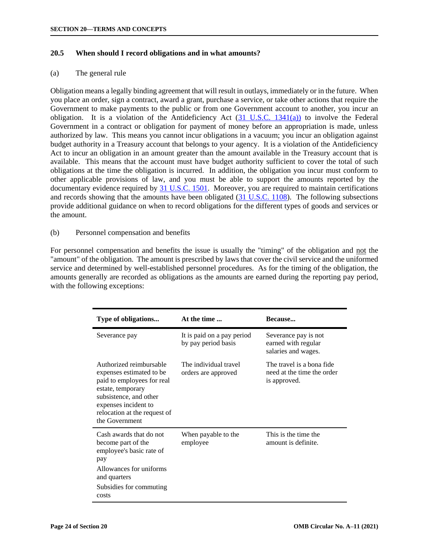### <span id="page-23-0"></span>**20.5 When should I record obligations and in what amounts?**

### (a) The general rule

Obligation means a legally binding agreement that will result in outlays, immediately or in the future. When you place an order, sign a contract, award a grant, purchase a service, or take other actions that require the Government to make payments to the public or from one Government account to another, you incur an obligation. It is a violation of the Antideficiency Act  $(31 \text{ U.S.C. } 1341(a))$  to involve the Federal Government in a contract or obligation for payment of money before an appropriation is made, unless authorized by law. This means you cannot incur obligations in a vacuum; you incur an obligation against budget authority in a Treasury account that belongs to your agency. It is a violation of the Antideficiency Act to incur an obligation in an amount greater than the amount available in the Treasury account that is available. This means that the account must have budget authority sufficient to cover the total of such obligations at the time the obligation is incurred. In addition, the obligation you incur must conform to other applicable provisions of law, and you must be able to support the amounts reported by the documentary evidence required by [31 U.S.C. 1501.](https://uscode.house.gov/view.xhtml?req=granuleid:USC-prelim-title31-section1501&num=0&edition=prelim) Moreover, you are required to maintain certifications and records showing that the amounts have been obligated [\(31 U.S.C. 1108\)](https://uscode.house.gov/view.xhtml?req=granuleid:USC-prelim-title31-section1108&num=0&edition=prelim). The following subsections provide additional guidance on when to record obligations for the different types of goods and services or the amount.

### (b) Personnel compensation and benefits

For personnel compensation and benefits the issue is usually the "timing" of the obligation and not the "amount" of the obligation. The amount is prescribed by laws that cover the civil service and the uniformed service and determined by well-established personnel procedures. As for the timing of the obligation, the amounts generally are recorded as obligations as the amounts are earned during the reporting pay period, with the following exceptions:

| Type of obligations                                                                                                                                                                                        | At the time                                       | Because                                                                 |
|------------------------------------------------------------------------------------------------------------------------------------------------------------------------------------------------------------|---------------------------------------------------|-------------------------------------------------------------------------|
| Severance pay                                                                                                                                                                                              | It is paid on a pay period<br>by pay period basis | Severance pay is not<br>earned with regular<br>salaries and wages.      |
| Authorized reimbursable<br>expenses estimated to be<br>paid to employees for real<br>estate, temporary<br>subsistence, and other<br>expenses incident to<br>relocation at the request of<br>the Government | The individual travel<br>orders are approved      | The travel is a bona fide<br>need at the time the order<br>is approved. |
| Cash awards that do not<br>become part of the<br>employee's basic rate of<br>pay<br>Allowances for uniforms<br>and quarters<br>Subsidies for commuting<br>costs                                            | When payable to the<br>employee                   | This is the time the<br>amount is definite.                             |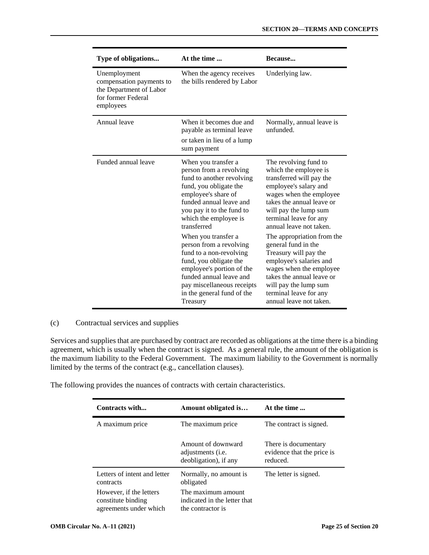| Type of obligations                                                                                    | At the time                                                                                                                                                                                                                                                                                                                                                                                                                                                         | Because                                                                                                                                                                                                                                                                                                                                                                                                                                                                                  |
|--------------------------------------------------------------------------------------------------------|---------------------------------------------------------------------------------------------------------------------------------------------------------------------------------------------------------------------------------------------------------------------------------------------------------------------------------------------------------------------------------------------------------------------------------------------------------------------|------------------------------------------------------------------------------------------------------------------------------------------------------------------------------------------------------------------------------------------------------------------------------------------------------------------------------------------------------------------------------------------------------------------------------------------------------------------------------------------|
| Unemployment<br>compensation payments to<br>the Department of Labor<br>for former Federal<br>employees | When the agency receives<br>the bills rendered by Labor                                                                                                                                                                                                                                                                                                                                                                                                             | Underlying law.                                                                                                                                                                                                                                                                                                                                                                                                                                                                          |
| Annual leave                                                                                           | When it becomes due and<br>payable as terminal leave<br>or taken in lieu of a lump<br>sum payment                                                                                                                                                                                                                                                                                                                                                                   | Normally, annual leave is<br>unfunded.                                                                                                                                                                                                                                                                                                                                                                                                                                                   |
| Funded annual leave                                                                                    | When you transfer a<br>person from a revolving<br>fund to another revolving<br>fund, you obligate the<br>employee's share of<br>funded annual leave and<br>you pay it to the fund to<br>which the employee is<br>transferred<br>When you transfer a<br>person from a revolving<br>fund to a non-revolving<br>fund, you obligate the<br>employee's portion of the<br>funded annual leave and<br>pay miscellaneous receipts<br>in the general fund of the<br>Treasury | The revolving fund to<br>which the employee is<br>transferred will pay the<br>employee's salary and<br>wages when the employee<br>takes the annual leave or<br>will pay the lump sum<br>terminal leave for any<br>annual leave not taken.<br>The appropriation from the<br>general fund in the<br>Treasury will pay the<br>employee's salaries and<br>wages when the employee<br>takes the annual leave or<br>will pay the lump sum<br>terminal leave for any<br>annual leave not taken. |

### (c) Contractual services and supplies

Services and supplies that are purchased by contract are recorded as obligations at the time there is a binding agreement, which is usually when the contract is signed. As a general rule, the amount of the obligation is the maximum liability to the Federal Government. The maximum liability to the Government is normally limited by the terms of the contract (e.g., cancellation clauses).

The following provides the nuances of contracts with certain characteristics.

| Contracts with                                                          | Amount obligated is                                                      | At the time                                                    |
|-------------------------------------------------------------------------|--------------------------------------------------------------------------|----------------------------------------------------------------|
| A maximum price                                                         | The maximum price                                                        | The contract is signed.                                        |
|                                                                         | Amount of downward<br>adjustments ( <i>i.e.</i><br>deobligation), if any | There is documentary<br>evidence that the price is<br>reduced. |
| Letters of intent and letter<br>contracts                               | Normally, no amount is<br>obligated                                      | The letter is signed.                                          |
| However, if the letters<br>constitute binding<br>agreements under which | The maximum amount<br>indicated in the letter that<br>the contractor is  |                                                                |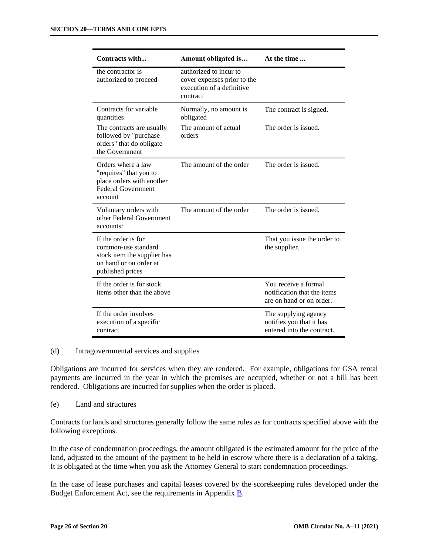| Contracts with                                                                                                          | Amount obligated is                                                                            | At the time                                                                     |
|-------------------------------------------------------------------------------------------------------------------------|------------------------------------------------------------------------------------------------|---------------------------------------------------------------------------------|
| the contractor is<br>authorized to proceed                                                                              | authorized to incur to<br>cover expenses prior to the<br>execution of a definitive<br>contract |                                                                                 |
| Contracts for variable<br>quantities                                                                                    | Normally, no amount is<br>obligated                                                            | The contract is signed.                                                         |
| The contracts are usually<br>followed by "purchase<br>orders" that do obligate<br>the Government                        | The amount of actual<br>orders                                                                 | The order is issued.                                                            |
| Orders where a law<br>"requires" that you to<br>place orders with another<br><b>Federal Government</b><br>account       | The amount of the order                                                                        | The order is issued.                                                            |
| Voluntary orders with<br>other Federal Government<br>accounts:                                                          | The amount of the order                                                                        | The order is issued.                                                            |
| If the order is for<br>common-use standard<br>stock item the supplier has<br>on hand or on order at<br>published prices |                                                                                                | That you issue the order to<br>the supplier.                                    |
| If the order is for stock<br>items other than the above                                                                 |                                                                                                | You receive a formal<br>notification that the items<br>are on hand or on order. |
| If the order involves<br>execution of a specific<br>contract                                                            |                                                                                                | The supplying agency<br>notifies you that it has<br>entered into the contract.  |

(d) Intragovernmental services and supplies

Obligations are incurred for services when they are rendered. For example, obligations for GSA rental payments are incurred in the year in which the premises are occupied, whether or not a bill has been rendered. Obligations are incurred for supplies when the order is placed.

(e) Land and structures

Contracts for lands and structures generally follow the same rules as for contracts specified above with the following exceptions.

In the case of condemnation proceedings, the amount obligated is the estimated amount for the price of the land, adjusted to the amount of the payment to be held in escrow where there is a declaration of a taking. It is obligated at the time when you ask the Attorney General to start condemnation proceedings.

In the case of lease purchases and capital leases covered by the scorekeeping rules developed under the Budget Enforcement Act, see the requirements in Appendix [B.](https://www.whitehouse.gov/wp-content/uploads/2018/06/app_b.pdf)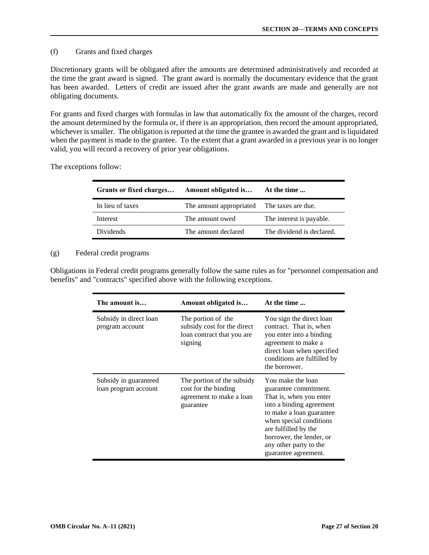## (f) Grants and fixed charges

Discretionary grants will be obligated after the amounts are determined administratively and recorded at the time the grant award is signed. The grant award is normally the documentary evidence that the grant has been awarded. Letters of credit are issued after the grant awards are made and generally are not obligating documents.

For grants and fixed charges with formulas in law that automatically fix the amount of the charges, record the amount determined by the formula or, if there is an appropriation, then record the amount appropriated, whichever is smaller. The obligation is reported at the time the grantee is awarded the grant and is liquidated when the payment is made to the grantee. To the extent that a grant awarded in a previous year is no longer valid, you will record a recovery of prior year obligations.

The exceptions follow:

| Amount obligated is                        | At the time               |
|--------------------------------------------|---------------------------|
| The amount appropriated The taxes are due. |                           |
| The amount owed                            | The interest is payable.  |
| The amount declared                        | The dividend is declared. |
|                                            | Grants or fixed charges   |

### (g) Federal credit programs

Obligations in Federal credit programs generally follow the same rules as for "personnel compensation and benefits" and "contracts" specified above with the following exceptions.

| The amount is                                 | Amount obligated is                                                                         | At the time                                                                                                                                                                                                                                                    |
|-----------------------------------------------|---------------------------------------------------------------------------------------------|----------------------------------------------------------------------------------------------------------------------------------------------------------------------------------------------------------------------------------------------------------------|
| Subsidy in direct loan<br>program account     | The portion of the<br>subsidy cost for the direct<br>loan contract that you are<br>signing  | You sign the direct loan<br>contract. That is, when<br>you enter into a binding<br>agreement to make a<br>direct loan when specified<br>conditions are fulfilled by<br>the borrower.                                                                           |
| Subsidy in guaranteed<br>loan program account | The portion of the subsidy<br>cost for the binding<br>agreement to make a loan<br>guarantee | You make the loan<br>guarantee commitment.<br>That is, when you enter<br>into a binding agreement<br>to make a loan guarantee<br>when special conditions<br>are fulfilled by the<br>borrower, the lender, or<br>any other party to the<br>guarantee agreement. |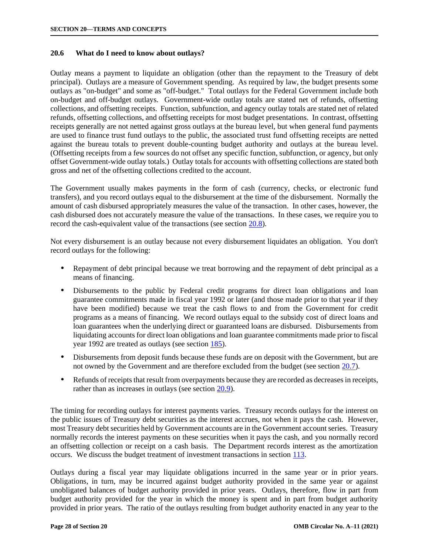### <span id="page-27-0"></span>**20.6 What do I need to know about outlays?**

Outlay means a payment to liquidate an obligation (other than the repayment to the Treasury of debt principal). Outlays are a measure of Government spending. As required by law, the budget presents some outlays as "on-budget" and some as "off-budget." Total outlays for the Federal Government include both on-budget and off-budget outlays. Government-wide outlay totals are stated net of refunds, offsetting collections, and offsetting receipts. Function, subfunction, and agency outlay totals are stated net of related refunds, offsetting collections, and offsetting receipts for most budget presentations. In contrast, offsetting receipts generally are not netted against gross outlays at the bureau level, but when general fund payments are used to finance trust fund outlays to the public, the associated trust fund offsetting receipts are netted against the bureau totals to prevent double-counting budget authority and outlays at the bureau level. (Offsetting receipts from a few sources do not offset any specific function, subfunction, or agency, but only offset Government-wide outlay totals.) Outlay totals for accounts with offsetting collections are stated both gross and net of the offsetting collections credited to the account.

The Government usually makes payments in the form of cash (currency, checks, or electronic fund transfers), and you record outlays equal to the disbursement at the time of the disbursement. Normally the amount of cash disbursed appropriately measures the value of the transaction. In other cases, however, the cash disbursed does not accurately measure the value of the transactions. In these cases, we require you to record the cash-equivalent value of the transactions (see section [20.8\).](#page-34-0)

Not every disbursement is an outlay because not every disbursement liquidates an obligation. You don't record outlays for the following:

- Repayment of debt principal because we treat borrowing and the repayment of debt principal as a means of financing.
- Disbursements to the public by Federal credit programs for direct loan obligations and loan guarantee commitments made in fiscal year 1992 or later (and those made prior to that year if they have been modified) because we treat the cash flows to and from the Government for credit programs as a means of financing. We record outlays equal to the subsidy cost of direct loans and loan guarantees when the underlying direct or guaranteed loans are disbursed. Disbursements from liquidating accounts for direct loan obligations and loan guarantee commitments made prior to fiscal year 1992 are treated as outlays (see section [185\).](https://www.whitehouse.gov/wp-content/uploads/2018/06/s185.pdf)
- Disbursements from deposit funds because these funds are on deposit with the Government, but are not owned by the Government and are therefore excluded from the budget (see section [20.7\).](#page-28-0)
- Refunds of receipts that result from overpayments because they are recorded as decreases in receipts, rather than as increases in outlays (see section [20.9\).](#page-35-0)

The timing for recording outlays for interest payments varies. Treasury records outlays for the interest on the public issues of Treasury debt securities as the interest accrues, not when it pays the cash. However, most Treasury debt securities held by Government accounts are in the Government account series. Treasury normally records the interest payments on these securities when it pays the cash, and you normally record an offsetting collection or receipt on a cash basis. The Department records interest as the amortization occurs. We discuss the budget treatment of investment transactions in section [113.](https://www.whitehouse.gov/wp-content/uploads/2018/06/s113.pdf)

Outlays during a fiscal year may liquidate obligations incurred in the same year or in prior years. Obligations, in turn, may be incurred against budget authority provided in the same year or against unobligated balances of budget authority provided in prior years. Outlays, therefore, flow in part from budget authority provided for the year in which the money is spent and in part from budget authority provided in prior years. The ratio of the outlays resulting from budget authority enacted in any year to the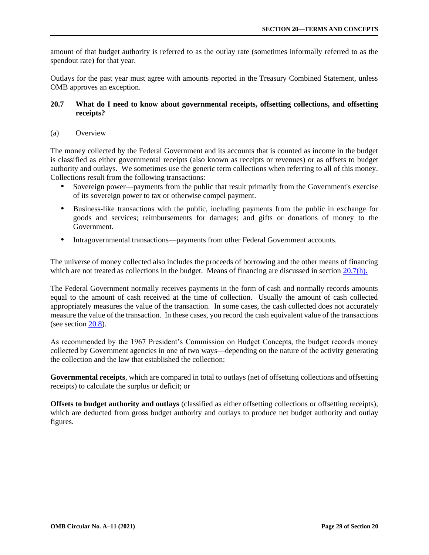<span id="page-28-0"></span>amount of that budget authority is referred to as the outlay rate (sometimes informally referred to as the spendout rate) for that year.

Outlays for the past year must agree with amounts reported in the Treasury Combined Statement, unless OMB approves an exception.

## **20.7 What do I need to know about governmental receipts, offsetting collections, and offsetting receipts?**

(a) Overview

The money collected by the Federal Government and its accounts that is counted as income in the budget is classified as either governmental receipts (also known as receipts or revenues) or as offsets to budget authority and outlays. We sometimes use the generic term collections when referring to all of this money. Collections result from the following transactions:

- Sovereign power—payments from the public that result primarily from the Government's exercise of its sovereign power to tax or otherwise compel payment.
- Business-like transactions with the public, including payments from the public in exchange for goods and services; reimbursements for damages; and gifts or donations of money to the Government.
- Intragovernmental transactions—payments from other Federal Government accounts.

The universe of money collected also includes the proceeds of borrowing and the other means of financing which are not treated as collections in the budget. Means of financing are discussed in section [20.7\(h\).](#page-34-0)

The Federal Government normally receives payments in the form of cash and normally records amounts equal to the amount of cash received at the time of collection. Usually the amount of cash collected appropriately measures the value of the transaction. In some cases, the cash collected does not accurately measure the value of the transaction. In these cases, you record the cash equivalent value of the transactions (see section [20.8\).](#page-34-0)

As recommended by the 1967 President's Commission on Budget Concepts, the budget records money collected by Government agencies in one of two ways—depending on the nature of the activity generating the collection and the law that established the collection:

**Governmental receipts**, which are compared in total to outlays (net of offsetting collections and offsetting receipts) to calculate the surplus or deficit; or

**Offsets to budget authority and outlays** (classified as either offsetting collections or offsetting receipts), which are deducted from gross budget authority and outlays to produce net budget authority and outlay figures.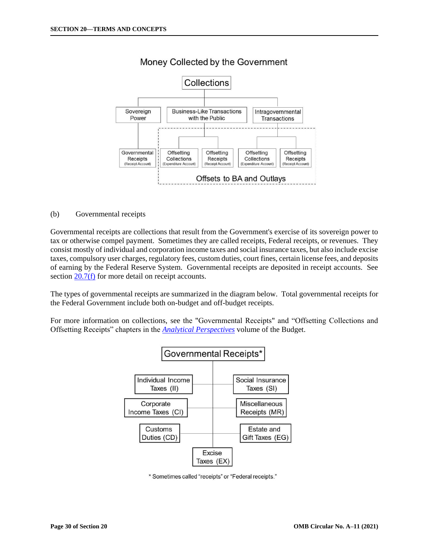<span id="page-29-0"></span>

# Money Collected by the Government

### (b) Governmental receipts

Governmental receipts are collections that result from the Government's exercise of its sovereign power to tax or otherwise compel payment. Sometimes they are called receipts, Federal receipts, or revenues. They consist mostly of individual and corporation income taxes and social insurance taxes, but also include excise taxes, compulsory user charges, regulatory fees, custom duties, court fines, certain license fees, and deposits of earning by the Federal Reserve System. Governmental receipts are deposited in receipt accounts. See section  $20.7(f)$  for more detail on receipt accounts.

The types of governmental receipts are summarized in the diagram below. Total governmental receipts for the Federal Government include both on-budget and off-budget receipts.

For more information on collections, see the "Governmental Receipts" and "Offsetting Collections and Offsetting Receipts" chapters in the *[Analytical Perspectives](https://www.whitehouse.gov/omb/analytical-perspectives/)* volume of the Budget.



\* Sometimes called "receipts" or "Federal receipts."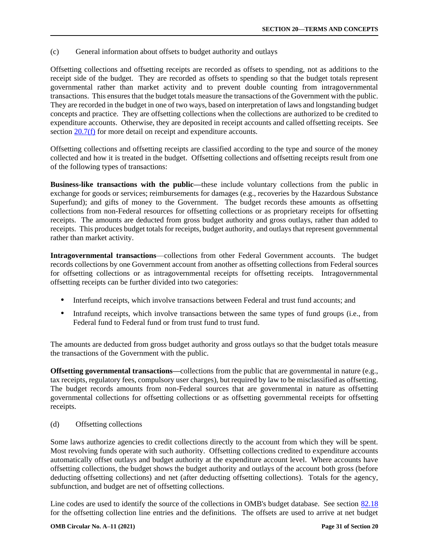<span id="page-30-0"></span>(c) General information about offsets to budget authority and outlays

Offsetting collections and offsetting receipts are recorded as offsets to spending, not as additions to the receipt side of the budget. They are recorded as offsets to spending so that the budget totals represent governmental rather than market activity and to prevent double counting from intragovernmental transactions. This ensures that the budget totals measure the transactions of the Government with the public. They are recorded in the budget in one of two ways, based on interpretation of laws and longstanding budget concepts and practice. They are offsetting collections when the collections are authorized to be credited to expenditure accounts. Otherwise, they are deposited in receipt accounts and called offsetting receipts. See section [20.7\(f\)](#page-32-0) for more detail on receipt and expenditure accounts.

Offsetting collections and offsetting receipts are classified according to the type and source of the money collected and how it is treated in the budget. Offsetting collections and offsetting receipts result from one of the following types of transactions:

**Business-like transactions with the public—**these include voluntary collections from the public in exchange for goods or services; reimbursements for damages (e.g., recoveries by the Hazardous Substance Superfund); and gifts of money to the Government. The budget records these amounts as offsetting collections from non-Federal resources for offsetting collections or as proprietary receipts for offsetting receipts. The amounts are deducted from gross budget authority and gross outlays, rather than added to receipts. This produces budget totals for receipts, budget authority, and outlays that represent governmental rather than market activity.

**Intragovernmental transactions**—collections from other Federal Government accounts. The budget records collections by one Government account from another as offsetting collections from Federal sources for offsetting collections or as intragovernmental receipts for offsetting receipts. Intragovernmental offsetting receipts can be further divided into two categories:

- Interfund receipts, which involve transactions between Federal and trust fund accounts; and
- Intrafund receipts, which involve transactions between the same types of fund groups (i.e., from Federal fund to Federal fund or from trust fund to trust fund.

The amounts are deducted from gross budget authority and gross outlays so that the budget totals measure the transactions of the Government with the public.

**Offsetting governmental transactions—collections from the public that are governmental in nature (e.g.,** tax receipts, regulatory fees, compulsory user charges), but required by law to be misclassified as offsetting. The budget records amounts from non-Federal sources that are governmental in nature as offsetting governmental collections for offsetting collections or as offsetting governmental receipts for offsetting receipts.

(d) Offsetting collections

Some laws authorize agencies to credit collections directly to the account from which they will be spent. Most revolving funds operate with such authority. Offsetting collections credited to expenditure accounts automatically offset outlays and budget authority at the expenditure account level. Where accounts have offsetting collections, the budget shows the budget authority and outlays of the account both gross (before deducting offsetting collections) and net (after deducting offsetting collections). Totals for the agency, subfunction, and budget are net of offsetting collections.

Line codes are used to identify the source of the collections in OMB's budget database. See section [82.18](https://www.whitehouse.gov/wp-content/uploads/2018/06/s82.pdf#82.18) for the offsetting collection line entries and the definitions. The offsets are used to arrive at net budget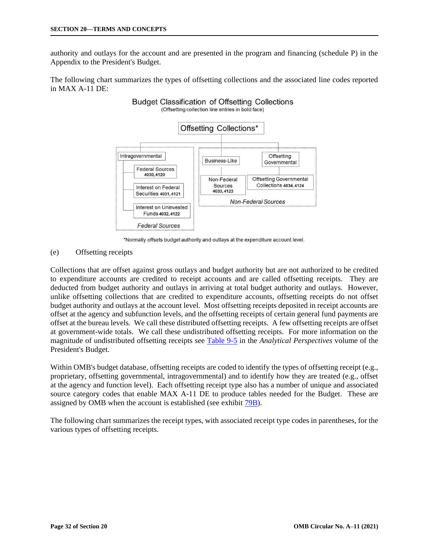<span id="page-31-0"></span>authority and outlays for the account and are presented in the program and financing (schedule P) in the Appendix to the President's Budget.

The following chart summarizes the types of offsetting collections and the associated line codes reported in MAX A-11 DE:

**Budget Classification of Offsetting Collections** 



\*Normally offsets budget authority and outlays at the expenditure account level.

### (e) Offsetting receipts

Collections that are offset against gross outlays and budget authority but are not authorized to be credited to expenditure accounts are credited to receipt accounts and are called offsetting receipts. They are deducted from budget authority and outlays in arriving at total budget authority and outlays. However, unlike offsetting collections that are credited to expenditure accounts, offsetting receipts do not offset budget authority and outlays at the account level. Most offsetting receipts deposited in receipt accounts are offset at the agency and subfunction levels, and the offsetting receipts of certain general fund payments are offset at the bureau levels. We call these distributed offsetting receipts. A few offsetting receipts are offset at government-wide totals. We call these undistributed offsetting receipts. For more information on the magnitude of undistributed offsetting receipts see [Table 9-5](https://www.whitehouse.gov/wp-content/uploads/2021/05/9-5_fy22.xlsx) in the *Analytical Perspectives* volume of the President's Budget.

Within OMB's budget database, offsetting receipts are coded to identify the types of offsetting receipt (e.g., proprietary, offsetting governmental, intragovernmental) and to identify how they are treated (e.g., offset at the agency and function level). Each offsetting receipt type also has a number of unique and associated source category codes that enable MAX A-11 DE to produce tables needed for the Budget. These are assigned by OMB when the account is established (see exhibit [79B\).](https://www.whitehouse.gov/wp-content/uploads/2018/06/s79.pdfEX79B) 

The following chart summarizes the receipt types, with associated receipt type codes in parentheses, for the various types of offsetting receipts.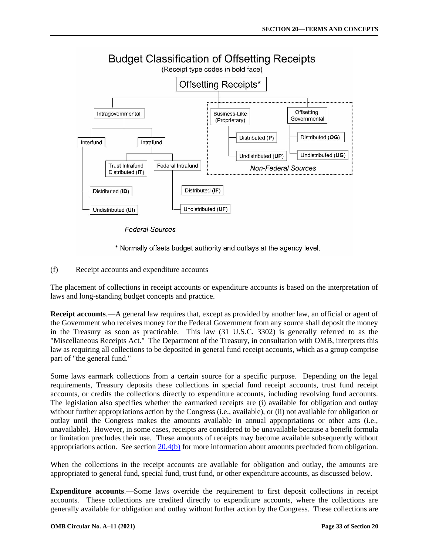<span id="page-32-0"></span>

**Federal Sources** 

\* Normally offsets budget authority and outlays at the agency level.

(f) Receipt accounts and expenditure accounts

The placement of collections in receipt accounts or expenditure accounts is based on the interpretation of laws and long-standing budget concepts and practice.

**Receipt accounts**.—A general law requires that, except as provided by another law, an official or agent of the Government who receives money for the Federal Government from any source shall deposit the money in the Treasury as soon as practicable. This law (31 U.S.C. 3302) is generally referred to as the "Miscellaneous Receipts Act." The Department of the Treasury, in consultation with OMB, interprets this law as requiring all collections to be deposited in general fund receipt accounts, which as a group comprise part of "the general fund."

Some laws earmark collections from a certain source for a specific purpose. Depending on the legal requirements, Treasury deposits these collections in special fund receipt accounts, trust fund receipt accounts, or credits the collections directly to expenditure accounts, including revolving fund accounts. The legislation also specifies whether the earmarked receipts are (i) available for obligation and outlay without further appropriations action by the Congress (i.e., available), or (ii) not available for obligation or outlay until the Congress makes the amounts available in annual appropriations or other acts (i.e., unavailable). However, in some cases, receipts are considered to be unavailable because a benefit formula or limitation precludes their use. These amounts of receipts may become available subsequently without appropriations action. See section  $20.4(b)$  for more information about amounts precluded from obligation.

When the collections in the receipt accounts are available for obligation and outlay, the amounts are appropriated to general fund, special fund, trust fund, or other expenditure accounts, as discussed below.

**Expenditure accounts**.—Some laws override the requirement to first deposit collections in receipt accounts. These collections are credited directly to expenditure accounts, where the collections are generally available for obligation and outlay without further action by the Congress. These collections are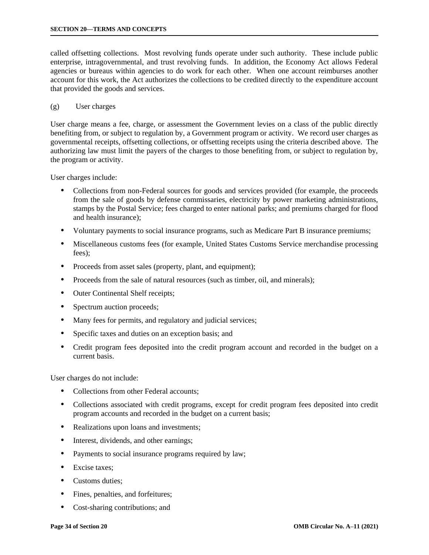<span id="page-33-0"></span>called offsetting collections. Most revolving funds operate under such authority. These include public enterprise, intragovernmental, and trust revolving funds. In addition, the Economy Act allows Federal agencies or bureaus within agencies to do work for each other. When one account reimburses another account for this work, the Act authorizes the collections to be credited directly to the expenditure account that provided the goods and services.

### (g) User charges

User charge means a fee, charge, or assessment the Government levies on a class of the public directly benefiting from, or subject to regulation by, a Government program or activity. We record user charges as governmental receipts, offsetting collections, or offsetting receipts using the criteria described above. The authorizing law must limit the payers of the charges to those benefiting from, or subject to regulation by, the program or activity.

User charges include:

- Collections from non-Federal sources for goods and services provided (for example, the proceeds from the sale of goods by defense commissaries, electricity by power marketing administrations, stamps by the Postal Service; fees charged to enter national parks; and premiums charged for flood and health insurance);
- Voluntary payments to social insurance programs, such as Medicare Part B insurance premiums;
- Miscellaneous customs fees (for example, United States Customs Service merchandise processing fees);
- Proceeds from asset sales (property, plant, and equipment);
- Proceeds from the sale of natural resources (such as timber, oil, and minerals);
- Outer Continental Shelf receipts;
- Spectrum auction proceeds;
- Many fees for permits, and regulatory and judicial services;
- Specific taxes and duties on an exception basis; and
- Credit program fees deposited into the credit program account and recorded in the budget on a current basis.

User charges do not include:

- Collections from other Federal accounts;
- Collections associated with credit programs, except for credit program fees deposited into credit program accounts and recorded in the budget on a current basis;
- Realizations upon loans and investments;
- Interest, dividends, and other earnings;
- Payments to social insurance programs required by law;
- Excise taxes;
- Customs duties:
- Fines, penalties, and forfeitures;
- Cost-sharing contributions; and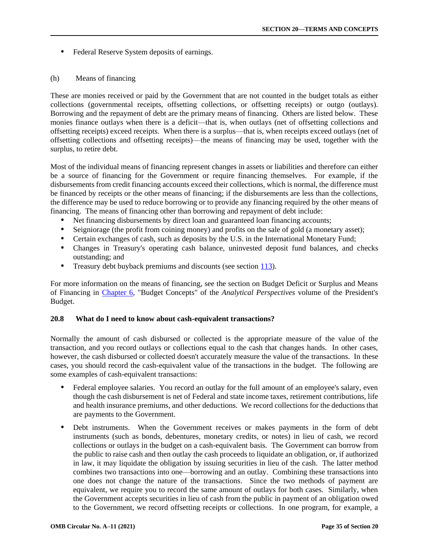<span id="page-34-0"></span>• Federal Reserve System deposits of earnings.

## (h) Means of financing

These are monies received or paid by the Government that are not counted in the budget totals as either collections (governmental receipts, offsetting collections, or offsetting receipts) or outgo (outlays). Borrowing and the repayment of debt are the primary means of financing. Others are listed below. These monies finance outlays when there is a deficit—that is, when outlays (net of offsetting collections and offsetting receipts) exceed receipts. When there is a surplus—that is, when receipts exceed outlays (net of offsetting collections and offsetting receipts)—the means of financing may be used, together with the surplus, to retire debt.

Most of the individual means of financing represent changes in assets or liabilities and therefore can either be a source of financing for the Government or require financing themselves. For example, if the disbursements from credit financing accounts exceed their collections, which is normal, the difference must be financed by receipts or the other means of financing; if the disbursements are less than the collections, the difference may be used to reduce borrowing or to provide any financing required by the other means of financing. The means of financing other than borrowing and repayment of debt include:

- Net financing disbursements by direct loan and guaranteed loan financing accounts;
- Seigniorage (the profit from coining money) and profits on the sale of gold (a monetary asset);
- Certain exchanges of cash, such as deposits by the U.S. in the International Monetary Fund;
- Changes in Treasury's operating cash balance, uninvested deposit fund balances, and checks outstanding; and
- Treasury debt buyback premiums and discounts (see section [113\).](https://www.whitehouse.gov/wp-content/uploads/2018/06/s113.pdf)

For more information on the means of financing, see the section on Budget Deficit or Surplus and Means of Financing in [Chapter 6,](https://www.whitehouse.gov/wp-content/uploads/2021/05/ap_6_concepts_fy22.pdf) "Budget Concepts" of the *Analytical Perspectives* volume of the President's Budget.

# **20.8 What do I need to know about cash-equivalent transactions?**

Normally the amount of cash disbursed or collected is the appropriate measure of the value of the transaction, and you record outlays or collections equal to the cash that changes hands. In other cases, however, the cash disbursed or collected doesn't accurately measure the value of the transactions. In these cases, you should record the cash-equivalent value of the transactions in the budget. The following are some examples of cash-equivalent transactions:

- Federal employee salaries. You record an outlay for the full amount of an employee's salary, even though the cash disbursement is net of Federal and state income taxes, retirement contributions, life and health insurance premiums, and other deductions. We record collections for the deductions that are payments to the Government.
- Debt instruments. When the Government receives or makes payments in the form of debt instruments (such as bonds, debentures, monetary credits, or notes) in lieu of cash, we record collections or outlays in the budget on a cash-equivalent basis. The Government can borrow from the public to raise cash and then outlay the cash proceeds to liquidate an obligation, or, if authorized in law, it may liquidate the obligation by issuing securities in lieu of the cash. The latter method combines two transactions into one—borrowing and an outlay. Combining these transactions into one does not change the nature of the transactions. Since the two methods of payment are equivalent, we require you to record the same amount of outlays for both cases. Similarly, when the Government accepts securities in lieu of cash from the public in payment of an obligation owed to the Government, we record offsetting receipts or collections. In one program, for example, a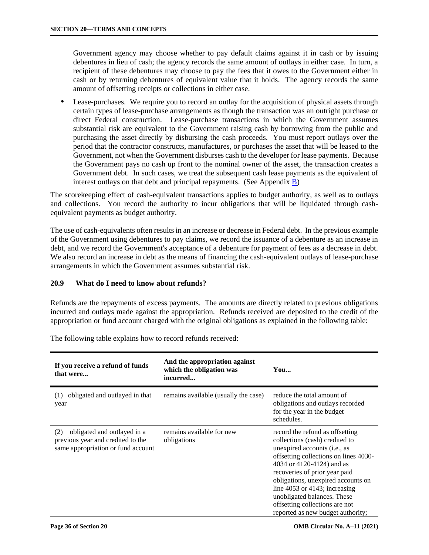<span id="page-35-0"></span>Government agency may choose whether to pay default claims against it in cash or by issuing debentures in lieu of cash; the agency records the same amount of outlays in either case. In turn, a recipient of these debentures may choose to pay the fees that it owes to the Government either in cash or by returning debentures of equivalent value that it holds. The agency records the same amount of offsetting receipts or collections in either case.

 Lease-purchases. We require you to record an outlay for the acquisition of physical assets through certain types of lease-purchase arrangements as though the transaction was an outright purchase or direct Federal construction. Lease-purchase transactions in which the Government assumes substantial risk are equivalent to the Government raising cash by borrowing from the public and purchasing the asset directly by disbursing the cash proceeds. You must report outlays over the period that the contractor constructs, manufactures, or purchases the asset that will be leased to the Government, not when the Government disburses cash to the developer for lease payments. Because the Government pays no cash up front to the nominal owner of the asset, the transaction creates a Government debt. In such cases, we treat the subsequent cash lease payments as the equivalent of interest outlays on that debt and principal repayments. (See Appendi[x B\)](https://www.whitehouse.gov/wp-content/uploads/2018/06/app_b.pdf)

The scorekeeping effect of cash-equivalent transactions applies to budget authority, as well as to outlays and collections. You record the authority to incur obligations that will be liquidated through cashequivalent payments as budget authority.

The use of cash-equivalents often results in an increase or decrease in Federal debt. In the previous example of the Government using debentures to pay claims, we record the issuance of a debenture as an increase in debt, and we record the Government's acceptance of a debenture for payment of fees as a decrease in debt. We also record an increase in debt as the means of financing the cash-equivalent outlays of lease-purchase arrangements in which the Government assumes substantial risk.

# **20.9 What do I need to know about refunds?**

Refunds are the repayments of excess payments. The amounts are directly related to previous obligations incurred and outlays made against the appropriation. Refunds received are deposited to the credit of the appropriation or fund account charged with the original obligations as explained in the following table:

| If you receive a refund of funds<br>that were                                                                 | And the appropriation against<br>which the obligation was<br>incurred | You                                                                                                                                                                                                                                                                                                                                                                                                 |
|---------------------------------------------------------------------------------------------------------------|-----------------------------------------------------------------------|-----------------------------------------------------------------------------------------------------------------------------------------------------------------------------------------------------------------------------------------------------------------------------------------------------------------------------------------------------------------------------------------------------|
| obligated and outlayed in that<br>(1)<br>year                                                                 | remains available (usually the case)                                  | reduce the total amount of<br>obligations and outlays recorded<br>for the year in the budget<br>schedules.                                                                                                                                                                                                                                                                                          |
| obligated and outlayed in a<br>(2)<br>previous year and credited to the<br>same appropriation or fund account | remains available for new<br>obligations                              | record the refund as offsetting<br>collections (cash) credited to<br>unexpired accounts ( <i>i.e.</i> , as<br>offsetting collections on lines 4030-<br>4034 or 4120-4124) and as<br>recoveries of prior year paid<br>obligations, unexpired accounts on<br>line $4053$ or $4143$ ; increasing<br>unobligated balances. These<br>offsetting collections are not<br>reported as new budget authority; |

The following table explains how to record refunds received: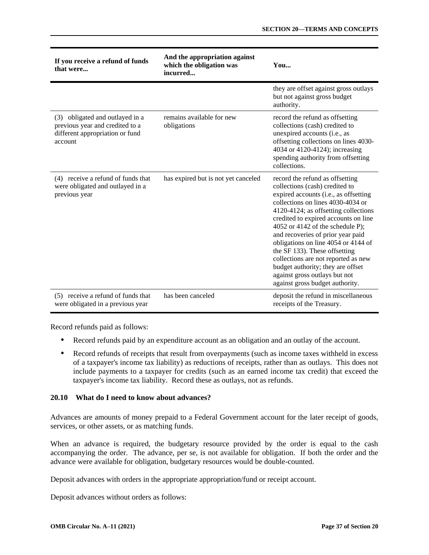<span id="page-36-0"></span>

| If you receive a refund of funds<br>that were                                                                    | And the appropriation against<br>which the obligation was<br>incurred | You                                                                                                                                                                                                                                                                                                                                                                                                                                                                                                                              |
|------------------------------------------------------------------------------------------------------------------|-----------------------------------------------------------------------|----------------------------------------------------------------------------------------------------------------------------------------------------------------------------------------------------------------------------------------------------------------------------------------------------------------------------------------------------------------------------------------------------------------------------------------------------------------------------------------------------------------------------------|
|                                                                                                                  |                                                                       | they are offset against gross outlays<br>but not against gross budget<br>authority.                                                                                                                                                                                                                                                                                                                                                                                                                                              |
| (3) obligated and outlayed in a<br>previous year and credited to a<br>different appropriation or fund<br>account | remains available for new<br>obligations                              | record the refund as offsetting<br>collections (cash) credited to<br>unexpired accounts (i.e., as<br>offsetting collections on lines 4030-<br>4034 or 4120-4124); increasing<br>spending authority from offsetting<br>collections.                                                                                                                                                                                                                                                                                               |
| (4) receive a refund of funds that<br>were obligated and outlayed in a<br>previous year                          | has expired but is not yet canceled                                   | record the refund as offsetting<br>collections (cash) credited to<br>expired accounts (i.e., as offsetting<br>collections on lines 4030-4034 or<br>4120-4124; as offsetting collections<br>credited to expired accounts on line<br>4052 or 4142 of the schedule P);<br>and recoveries of prior year paid<br>obligations on line 4054 or 4144 of<br>the SF 133). These offsetting<br>collections are not reported as new<br>budget authority; they are offset<br>against gross outlays but not<br>against gross budget authority. |
| (5) receive a refund of funds that<br>were obligated in a previous year                                          | has been canceled                                                     | deposit the refund in miscellaneous<br>receipts of the Treasury.                                                                                                                                                                                                                                                                                                                                                                                                                                                                 |

Record refunds paid as follows:

- Record refunds paid by an expenditure account as an obligation and an outlay of the account.
- Record refunds of receipts that result from overpayments (such as income taxes withheld in excess of a taxpayer's income tax liability) as reductions of receipts, rather than as outlays. This does not include payments to a taxpayer for credits (such as an earned income tax credit) that exceed the taxpayer's income tax liability. Record these as outlays, not as refunds.

# **20.10 What do I need to know about advances?**

Advances are amounts of money prepaid to a Federal Government account for the later receipt of goods, services, or other assets, or as matching funds.

When an advance is required, the budgetary resource provided by the order is equal to the cash accompanying the order. The advance, per se, is not available for obligation. If both the order and the advance were available for obligation, budgetary resources would be double-counted.

Deposit advances with orders in the appropriate appropriation/fund or receipt account.

Deposit advances without orders as follows: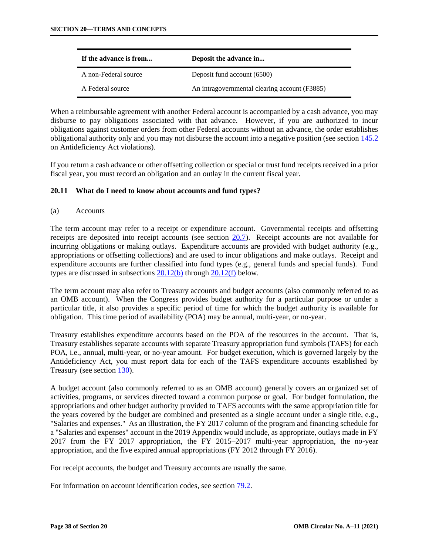<span id="page-37-0"></span>

| If the advance is from | Deposit the advance in                        |
|------------------------|-----------------------------------------------|
| A non-Federal source   | Deposit fund account (6500)                   |
| A Federal source       | An intragovernmental clearing account (F3885) |

When a reimbursable agreement with another Federal account is accompanied by a cash advance, you may disburse to pay obligations associated with that advance. However, if you are authorized to incur obligations against customer orders from other Federal accounts without an advance, the order establishes obligational authority only and you may not disburse the account into a negative position (see section [145.2](https://www.whitehouse.gov/wp-content/uploads/2018/06/s145.pdf#145.2) on Antideficiency Act violations).

If you return a cash advance or other offsetting collection or special or trust fund receipts received in a prior fiscal year, you must record an obligation and an outlay in the current fiscal year.

# **20.11 What do I need to know about accounts and fund types?**

(a) Accounts

The term account may refer to a receipt or expenditure account. Governmental receipts and offsetting receipts are deposited into receipt accounts (see section [20.7\).](#page-28-0) Receipt accounts are not available for incurring obligations or making outlays. Expenditure accounts are provided with budget authority (e.g., appropriations or offsetting collections) and are used to incur obligations and make outlays. Receipt and expenditure accounts are further classified into fund types (e.g., general funds and special funds). Fund types are discussed in subsections  $20.12(b)$  through  $20.12(f)$  below.

The term account may also refer to Treasury accounts and budget accounts (also commonly referred to as an OMB account). When the Congress provides budget authority for a particular purpose or under a particular title, it also provides a specific period of time for which the budget authority is available for obligation. This time period of availability (POA) may be annual, multi-year, or no-year.

Treasury establishes expenditure accounts based on the POA of the resources in the account. That is, Treasury establishes separate accounts with separate Treasury appropriation fund symbols (TAFS) for each POA, i.e., annual, multi-year, or no-year amount. For budget execution, which is governed largely by the Antideficiency Act, you must report data for each of the TAFS expenditure accounts established by Treasury (see section [130\).](https://www.whitehouse.gov/wp-content/uploads/2018/06/s130.pdf) 

A budget account (also commonly referred to as an OMB account) generally covers an organized set of activities, programs, or services directed toward a common purpose or goal. For budget formulation, the appropriations and other budget authority provided to TAFS accounts with the same appropriation title for the years covered by the budget are combined and presented as a single account under a single title, e.g., "Salaries and expenses." As an illustration, the FY 2017 column of the program and financing schedule for a "Salaries and expenses" account in the 2019 Appendix would include, as appropriate, outlays made in FY 2017 from the FY 2017 appropriation, the FY 2015–2017 multi-year appropriation, the no-year appropriation, and the five expired annual appropriations (FY 2012 through FY 2016).

For receipt accounts, the budget and Treasury accounts are usually the same.

For information on account identification codes, see section [79.2.](https://www.whitehouse.gov/wp-content/uploads/2018/06/s79.pdf#79.2)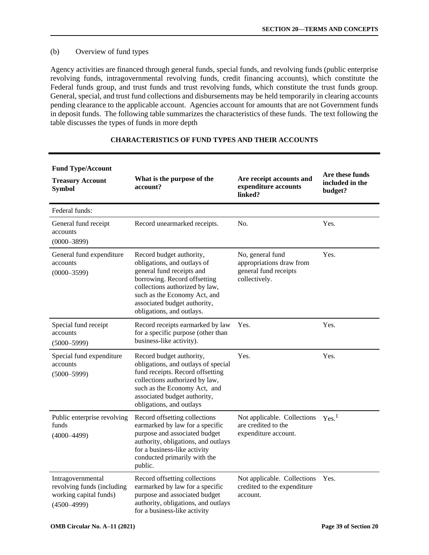# (b) Overview of fund types

Agency activities are financed through general funds, special funds, and revolving funds (public enterprise revolving funds, intragovernmental revolving funds, credit financing accounts), which constitute the Federal funds group, and trust funds and trust revolving funds, which constitute the trust funds group. General, special, and trust fund collections and disbursements may be held temporarily in clearing accounts pending clearance to the applicable account. Agencies account for amounts that are not Government funds in deposit funds. The following table summarizes the characteristics of these funds. The text following the table discusses the types of funds in more depth

| <b>Fund Type/Account</b><br><b>Treasury Account</b><br><b>Symbol</b>                         | What is the purpose of the<br>account?                                                                                                                                                                                                              | Are receipt accounts and<br>expenditure accounts<br>linked?                            | Are these funds<br>included in the<br>budget? |
|----------------------------------------------------------------------------------------------|-----------------------------------------------------------------------------------------------------------------------------------------------------------------------------------------------------------------------------------------------------|----------------------------------------------------------------------------------------|-----------------------------------------------|
| Federal funds:                                                                               |                                                                                                                                                                                                                                                     |                                                                                        |                                               |
| General fund receipt<br>accounts<br>$(0000 - 3899)$                                          | Record unearmarked receipts.                                                                                                                                                                                                                        | No.                                                                                    | Yes.                                          |
| General fund expenditure<br>accounts<br>$(0000 - 3599)$                                      | Record budget authority,<br>obligations, and outlays of<br>general fund receipts and<br>borrowing. Record offsetting<br>collections authorized by law,<br>such as the Economy Act, and<br>associated budget authority,<br>obligations, and outlays. | No, general fund<br>appropriations draw from<br>general fund receipts<br>collectively. | Yes.                                          |
| Special fund receipt<br>accounts<br>$(5000 - 5999)$                                          | Record receipts earmarked by law<br>for a specific purpose (other than<br>business-like activity).                                                                                                                                                  | Yes.                                                                                   | Yes.                                          |
| Special fund expenditure<br>accounts<br>$(5000 - 5999)$                                      | Record budget authority,<br>obligations, and outlays of special<br>fund receipts. Record offsetting<br>collections authorized by law,<br>such as the Economy Act, and<br>associated budget authority,<br>obligations, and outlays                   | Yes.                                                                                   | Yes.                                          |
| Public enterprise revolving<br>funds<br>$(4000 - 4499)$                                      | Record offsetting collections<br>earmarked by law for a specific<br>purpose and associated budget<br>authority, obligations, and outlays<br>for a business-like activity<br>conducted primarily with the<br>public.                                 | Not applicable. Collections<br>are credited to the<br>expenditure account.             | Yes. <sup>1</sup>                             |
| Intragovernmental<br>revolving funds (including<br>working capital funds)<br>$(4500 - 4999)$ | Record offsetting collections<br>earmarked by law for a specific<br>purpose and associated budget<br>authority, obligations, and outlays<br>for a business-like activity                                                                            | Not applicable. Collections<br>credited to the expenditure<br>account.                 | Yes.                                          |

# **CHARACTERISTICS OF FUND TYPES AND THEIR ACCOUNTS**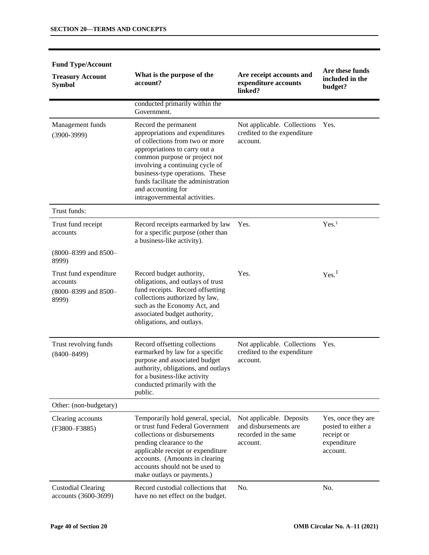| <b>Fund Type/Account</b>                                            |                                                                                                                                                                                                                                                                                                                                  |                                                                                       |                                                                                   |
|---------------------------------------------------------------------|----------------------------------------------------------------------------------------------------------------------------------------------------------------------------------------------------------------------------------------------------------------------------------------------------------------------------------|---------------------------------------------------------------------------------------|-----------------------------------------------------------------------------------|
| <b>Treasury Account</b><br><b>Symbol</b>                            | What is the purpose of the<br>account?                                                                                                                                                                                                                                                                                           | Are receipt accounts and<br>expenditure accounts<br>linked?                           | Are these funds<br>included in the<br>budget?                                     |
|                                                                     | conducted primarily within the<br>Government.                                                                                                                                                                                                                                                                                    |                                                                                       |                                                                                   |
| Management funds<br>$(3900-3999)$                                   | Record the permanent<br>appropriations and expenditures<br>of collections from two or more<br>appropriations to carry out a<br>common purpose or project not<br>involving a continuing cycle of<br>business-type operations. These<br>funds facilitate the administration<br>and accounting for<br>intragovernmental activities. | Not applicable. Collections<br>credited to the expenditure<br>account.                | Yes.                                                                              |
| Trust funds:                                                        |                                                                                                                                                                                                                                                                                                                                  |                                                                                       |                                                                                   |
| Trust fund receipt<br>accounts                                      | Record receipts earmarked by law<br>for a specific purpose (other than<br>a business-like activity).                                                                                                                                                                                                                             | Yes.                                                                                  | Yes. <sup>1</sup>                                                                 |
| (8000-8399 and 8500-<br>8999)                                       |                                                                                                                                                                                                                                                                                                                                  |                                                                                       |                                                                                   |
| Trust fund expenditure<br>accounts<br>(8000-8399 and 8500-<br>8999) | Record budget authority,<br>obligations, and outlays of trust<br>fund receipts. Record offsetting<br>collections authorized by law,<br>such as the Economy Act, and<br>associated budget authority,<br>obligations, and outlays.                                                                                                 | Yes.                                                                                  | Yes. <sup>1</sup>                                                                 |
| Trust revolving funds<br>$(8400 - 8499)$                            | Record offsetting collections<br>earmarked by law for a specific<br>purpose and associated budget<br>authority, obligations, and outlays<br>for a business-like activity<br>conducted primarily with the<br>public.                                                                                                              | Not applicable. Collections<br>credited to the expenditure<br>account.                | Yes.                                                                              |
| Other: (non-budgetary)                                              |                                                                                                                                                                                                                                                                                                                                  |                                                                                       |                                                                                   |
| Clearing accounts<br>(F3800-F3885)                                  | Temporarily hold general, special,<br>or trust fund Federal Government<br>collections or disbursements<br>pending clearance to the<br>applicable receipt or expenditure<br>accounts. (Amounts in clearing<br>accounts should not be used to<br>make outlays or payments.)                                                        | Not applicable. Deposits<br>and disbursements are<br>recorded in the same<br>account. | Yes, once they are<br>posted to either a<br>receipt or<br>expenditure<br>account. |
| <b>Custodial Clearing</b><br>accounts (3600-3699)                   | Record custodial collections that<br>have no net effect on the budget.                                                                                                                                                                                                                                                           | No.                                                                                   | No.                                                                               |

# **Fund Type/Account**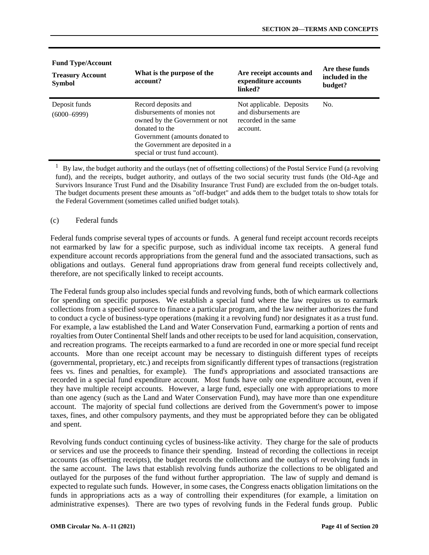| <b>Fund Type/Account</b>                 |                                                                                                                                                                                                                  |                                                                                       |                                               |
|------------------------------------------|------------------------------------------------------------------------------------------------------------------------------------------------------------------------------------------------------------------|---------------------------------------------------------------------------------------|-----------------------------------------------|
| <b>Treasury Account</b><br><b>Symbol</b> | What is the purpose of the<br>account?                                                                                                                                                                           | Are receipt accounts and<br>expenditure accounts<br>linked?                           | Are these funds<br>included in the<br>budget? |
| Deposit funds<br>$(6000 - 6999)$         | Record deposits and<br>disbursements of monies not<br>owned by the Government or not<br>donated to the<br>Government (amounts donated to<br>the Government are deposited in a<br>special or trust fund account). | Not applicable. Deposits<br>and disbursements are<br>recorded in the same<br>account. | No.                                           |

1 By law, the budget authority and the outlays (net of offsetting collections) of the Postal Service Fund (a revolving fund), and the receipts, budget authority, and outlays of the two social security trust funds (the Old-Age and Survivors Insurance Trust Fund and the Disability Insurance Trust Fund) are excluded from the on-budget totals. The budget documents present these amounts as "off-budget" and adds them to the budget totals to show totals for the Federal Government (sometimes called unified budget totals).

## (c) Federal funds

Federal funds comprise several types of accounts or funds. A general fund receipt account records receipts not earmarked by law for a specific purpose, such as individual income tax receipts. A general fund expenditure account records appropriations from the general fund and the associated transactions, such as obligations and outlays. General fund appropriations draw from general fund receipts collectively and, therefore, are not specifically linked to receipt accounts.

The Federal funds group also includes special funds and revolving funds, both of which earmark collections for spending on specific purposes. We establish a special fund where the law requires us to earmark collections from a specified source to finance a particular program, and the law neither authorizes the fund to conduct a cycle of business-type operations (making it a revolving fund) nor designates it as a trust fund. For example, a law established the Land and Water Conservation Fund, earmarking a portion of rents and royalties from Outer Continental Shelf lands and other receipts to be used for land acquisition, conservation, and recreation programs. The receipts earmarked to a fund are recorded in one or more special fund receipt accounts. More than one receipt account may be necessary to distinguish different types of receipts (governmental, proprietary, etc.) and receipts from significantly different types of transactions (registration fees vs. fines and penalties, for example). The fund's appropriations and associated transactions are recorded in a special fund expenditure account. Most funds have only one expenditure account, even if they have multiple receipt accounts. However, a large fund, especially one with appropriations to more than one agency (such as the Land and Water Conservation Fund), may have more than one expenditure account. The majority of special fund collections are derived from the Government's power to impose taxes, fines, and other compulsory payments, and they must be appropriated before they can be obligated and spent.

Revolving funds conduct continuing cycles of business-like activity. They charge for the sale of products or services and use the proceeds to finance their spending. Instead of recording the collections in receipt accounts (as offsetting receipts), the budget records the collections and the outlays of revolving funds in the same account. The laws that establish revolving funds authorize the collections to be obligated and outlayed for the purposes of the fund without further appropriation. The law of supply and demand is expected to regulate such funds. However, in some cases, the Congress enacts obligation limitations on the funds in appropriations acts as a way of controlling their expenditures (for example, a limitation on administrative expenses). There are two types of revolving funds in the Federal funds group. Public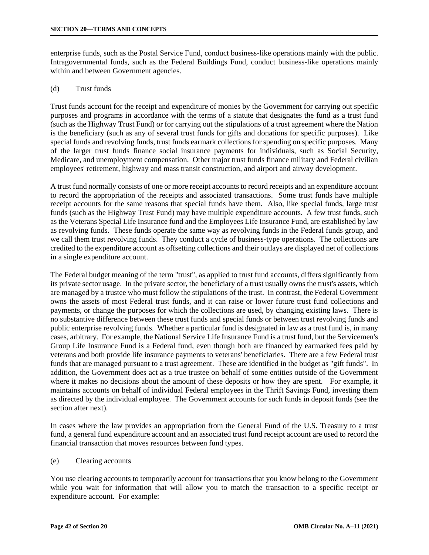enterprise funds, such as the Postal Service Fund, conduct business-like operations mainly with the public. Intragovernmental funds, such as the Federal Buildings Fund, conduct business-like operations mainly within and between Government agencies.

### (d) Trust funds

Trust funds account for the receipt and expenditure of monies by the Government for carrying out specific purposes and programs in accordance with the terms of a statute that designates the fund as a trust fund (such as the Highway Trust Fund) or for carrying out the stipulations of a trust agreement where the Nation is the beneficiary (such as any of several trust funds for gifts and donations for specific purposes). Like special funds and revolving funds, trust funds earmark collections for spending on specific purposes. Many of the larger trust funds finance social insurance payments for individuals, such as Social Security, Medicare, and unemployment compensation. Other major trust funds finance military and Federal civilian employees' retirement, highway and mass transit construction, and airport and airway development.

A trust fund normally consists of one or more receipt accounts to record receipts and an expenditure account to record the appropriation of the receipts and associated transactions. Some trust funds have multiple receipt accounts for the same reasons that special funds have them. Also, like special funds, large trust funds (such as the Highway Trust Fund) may have multiple expenditure accounts. A few trust funds, such as the Veterans Special Life Insurance fund and the Employees Life Insurance Fund, are established by law as revolving funds. These funds operate the same way as revolving funds in the Federal funds group, and we call them trust revolving funds. They conduct a cycle of business-type operations. The collections are credited to the expenditure account as offsetting collections and their outlays are displayed net of collections in a single expenditure account.

The Federal budget meaning of the term "trust", as applied to trust fund accounts, differs significantly from its private sector usage. In the private sector, the beneficiary of a trust usually owns the trust's assets, which are managed by a trustee who must follow the stipulations of the trust. In contrast, the Federal Government owns the assets of most Federal trust funds, and it can raise or lower future trust fund collections and payments, or change the purposes for which the collections are used, by changing existing laws. There is no substantive difference between these trust funds and special funds or between trust revolving funds and public enterprise revolving funds. Whether a particular fund is designated in law as a trust fund is, in many cases, arbitrary. For example, the National Service Life Insurance Fund is a trust fund, but the Servicemen's Group Life Insurance Fund is a Federal fund, even though both are financed by earmarked fees paid by veterans and both provide life insurance payments to veterans' beneficiaries. There are a few Federal trust funds that are managed pursuant to a trust agreement. These are identified in the budget as "gift funds". In addition, the Government does act as a true trustee on behalf of some entities outside of the Government where it makes no decisions about the amount of these deposits or how they are spent. For example, it maintains accounts on behalf of individual Federal employees in the Thrift Savings Fund, investing them as directed by the individual employee. The Government accounts for such funds in deposit funds (see the section after next).

In cases where the law provides an appropriation from the General Fund of the U.S. Treasury to a trust fund, a general fund expenditure account and an associated trust fund receipt account are used to record the financial transaction that moves resources between fund types.

(e) Clearing accounts

You use clearing accounts to temporarily account for transactions that you know belong to the Government while you wait for information that will allow you to match the transaction to a specific receipt or expenditure account. For example: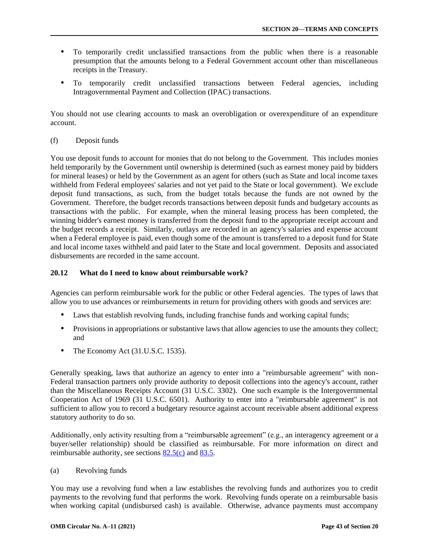- <span id="page-42-0"></span> To temporarily credit unclassified transactions from the public when there is a reasonable presumption that the amounts belong to a Federal Government account other than miscellaneous receipts in the Treasury.
- To temporarily credit unclassified transactions between Federal agencies, including Intragovernmental Payment and Collection (IPAC) transactions.

You should not use clearing accounts to mask an overobligation or overexpenditure of an expenditure account.

## (f) Deposit funds

You use deposit funds to account for monies that do not belong to the Government. This includes monies held temporarily by the Government until ownership is determined (such as earnest money paid by bidders for mineral leases) or held by the Government as an agent for others (such as State and local income taxes withheld from Federal employees' salaries and not yet paid to the State or local government). We exclude deposit fund transactions, as such, from the budget totals because the funds are not owned by the Government. Therefore, the budget records transactions between deposit funds and budgetary accounts as transactions with the public. For example, when the mineral leasing process has been completed, the winning bidder's earnest money is transferred from the deposit fund to the appropriate receipt account and the budget records a receipt. Similarly, outlays are recorded in an agency's salaries and expense account when a Federal employee is paid, even though some of the amount is transferred to a deposit fund for State and local income taxes withheld and paid later to the State and local government. Deposits and associated disbursements are recorded in the same account.

## **20.12 What do I need to know about reimbursable work?**

Agencies can perform reimbursable work for the public or other Federal agencies. The types of laws that allow you to use advances or reimbursements in return for providing others with goods and services are:

- Laws that establish revolving funds, including franchise funds and working capital funds;
- Provisions in appropriations or substantive laws that allow agencies to use the amounts they collect; and
- The Economy Act (31.U.S.C. 1535).

Generally speaking, laws that authorize an agency to enter into a "reimbursable agreement" with non-Federal transaction partners only provide authority to deposit collections into the agency's account, rather than the Miscellaneous Receipts Account (31 U.S.C. 3302). One such example is the Intergovernmental Cooperation Act of 1969 (31 U.S.C. 6501). Authority to enter into a "reimbursable agreement" is not sufficient to allow you to record a budgetary resource against account receivable absent additional express statutory authority to do so.

Additionally, only activity resulting from a "reimbursable agreement" (e.g., an interagency agreement or a buyer/seller relationship) should be classified as reimbursable. For more information on direct and reimbursable authority, see sections [82.5\(c\)](https://www.whitehouse.gov/wp-content/uploads/2018/06/s82.pdf#82.5) and [83.5.](https://www.whitehouse.gov/wp-content/uploads/2018/06/s83.pdf#83.5)

### (a) Revolving funds

You may use a revolving fund when a law establishes the revolving funds and authorizes you to credit payments to the revolving fund that performs the work. Revolving funds operate on a reimbursable basis when working capital (undisbursed cash) is available. Otherwise, advance payments must accompany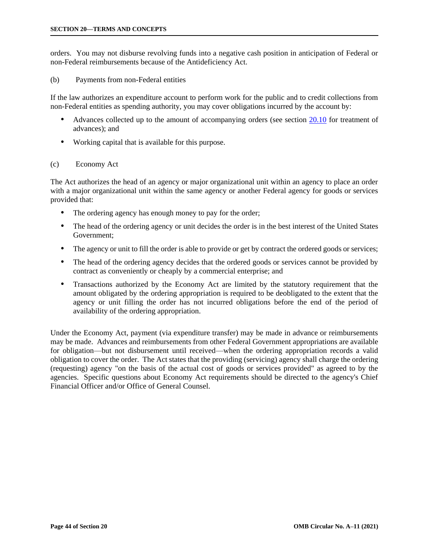orders. You may not disburse revolving funds into a negative cash position in anticipation of Federal or non-Federal reimbursements because of the Antideficiency Act.

### (b) Payments from non-Federal entities

If the law authorizes an expenditure account to perform work for the public and to credit collections from non-Federal entities as spending authority, you may cover obligations incurred by the account by:

- Advances collected up to the amount of accompanying orders (see section [20.10](#page-36-0) for treatment of advances); and
- Working capital that is available for this purpose.

# (c) Economy Act

The Act authorizes the head of an agency or major organizational unit within an agency to place an order with a major organizational unit within the same agency or another Federal agency for goods or services provided that:

- The ordering agency has enough money to pay for the order;
- The head of the ordering agency or unit decides the order is in the best interest of the United States Government;
- The agency or unit to fill the order is able to provide or get by contract the ordered goods or services;
- The head of the ordering agency decides that the ordered goods or services cannot be provided by contract as conveniently or cheaply by a commercial enterprise; and
- Transactions authorized by the Economy Act are limited by the statutory requirement that the amount obligated by the ordering appropriation is required to be deobligated to the extent that the agency or unit filling the order has not incurred obligations before the end of the period of availability of the ordering appropriation.

Under the Economy Act, payment (via expenditure transfer) may be made in advance or reimbursements may be made. Advances and reimbursements from other Federal Government appropriations are available for obligation—but not disbursement until received—when the ordering appropriation records a valid obligation to cover the order. The Act states that the providing (servicing) agency shall charge the ordering (requesting) agency "on the basis of the actual cost of goods or services provided" as agreed to by the agencies. Specific questions about Economy Act requirements should be directed to the agency's Chief Financial Officer and/or Office of General Counsel.